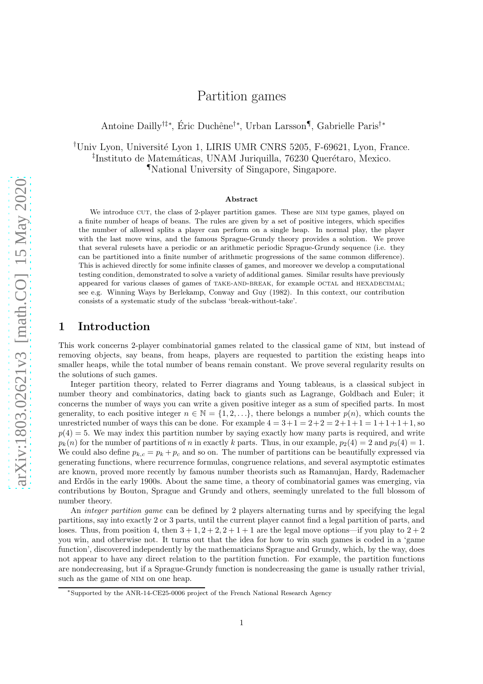# Partition games

Antoine Dailly<sup>†‡∗</sup>, Éric Duchêne<sup>†∗</sup>, Urban Larsson¶, Gabrielle Paris<sup>†∗</sup>

<sup>†</sup>Univ Lyon, Université Lyon 1, LIRIS UMR CNRS 5205, F-69621, Lyon, France. <sup>‡</sup>Instituto de Matemáticas, UNAM Juriquilla, 76230 Querétaro, Mexico. ¶National University of Singapore, Singapore.

#### Abstract

We introduce CUT, the class of 2-player partition games. These are NIM type games, played on a finite number of heaps of beans. The rules are given by a set of positive integers, which specifies the number of allowed splits a player can perform on a single heap. In normal play, the player with the last move wins, and the famous Sprague-Grundy theory provides a solution. We prove that several rulesets have a periodic or an arithmetic periodic Sprague-Grundy sequence (i.e. they can be partitioned into a finite number of arithmetic progressions of the same common difference). This is achieved directly for some infinite classes of games, and moreover we develop a computational testing condition, demonstrated to solve a variety of additional games. Similar results have previously appeared for various classes of games of TAKE-AND-BREAK, for example OCTAL and HEXADECIMAL; see e.g. Winning Ways by Berlekamp, Conway and Guy (1982). In this context, our contribution consists of a systematic study of the subclass 'break-without-take'.

## 1 Introduction

This work concerns 2-player combinatorial games related to the classical game of nim, but instead of removing objects, say beans, from heaps, players are requested to partition the existing heaps into smaller heaps, while the total number of beans remain constant. We prove several regularity results on the solutions of such games.

Integer partition theory, related to Ferrer diagrams and Young tableaus, is a classical subject in number theory and combinatorics, dating back to giants such as Lagrange, Goldbach and Euler; it concerns the number of ways you can write a given positive integer as a sum of specified parts. In most generality, to each positive integer  $n \in \mathbb{N} = \{1, 2, ...\}$ , there belongs a number  $p(n)$ , which counts the unrestricted number of ways this can be done. For example  $4 = 3+1 = 2+2 = 2+1+1 = 1+1+1+1$ , so  $p(4) = 5$ . We may index this partition number by saying exactly how many parts is required, and write  $p_k(n)$  for the number of partitions of n in exactly k parts. Thus, in our example,  $p_2(4) = 2$  and  $p_3(4) = 1$ . We could also define  $p_{k,c} = p_k + p_c$  and so on. The number of partitions can be beautifully expressed via generating functions, where recurrence formulas, congruence relations, and several asymptotic estimates are known, proved more recently by famous number theorists such as Ramanujan, Hardy, Rademacher and Erdős in the early 1900s. About the same time, a theory of combinatorial games was emerging, via contributions by Bouton, Sprague and Grundy and others, seemingly unrelated to the full blossom of number theory.

An *integer partition game* can be defined by 2 players alternating turns and by specifying the legal partitions, say into exactly 2 or 3 parts, until the current player cannot find a legal partition of parts, and loses. Thus, from position 4, then  $3 + 1$ ,  $2 + 2$ ,  $2 + 1 + 1$  are the legal move options—if you play to  $2 + 2$ you win, and otherwise not. It turns out that the idea for how to win such games is coded in a 'game function', discovered independently by the mathematicians Sprague and Grundy, which, by the way, does not appear to have any direct relation to the partition function. For example, the partition functions are nondecreasing, but if a Sprague-Grundy function is nondecreasing the game is usually rather trivial, such as the game of NIM on one heap.

<sup>∗</sup>Supported by the ANR-14-CE25-0006 project of the French National Research Agency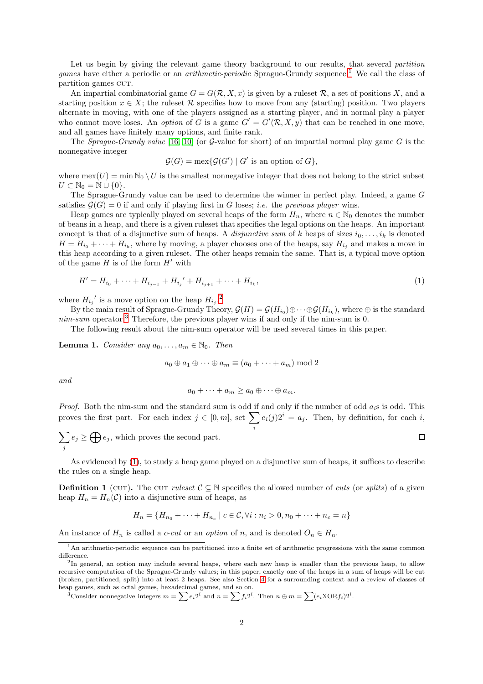Let us begin by giving the relevant game theory background to our results, that several *partition games* have either a periodic or an *arithmetic-periodic* Sprague-Grundy sequence.<sup>[1](#page-1-0)</sup> We call the class of partition games CUT.

An impartial combinatorial game  $G = G(R, X, x)$  is given by a ruleset R, a set of positions X, and a starting position  $x \in X$ ; the ruleset R specifies how to move from any (starting) position. Two players alternate in moving, with one of the players assigned as a starting player, and in normal play a player who cannot move loses. An *option* of G is a game  $G' = G'(\mathcal{R}, X, y)$  that can be reached in one move, and all games have finitely many options, and finite rank.

The *Sprague-Grundy value* [\[16,](#page-20-0) [10\]](#page-20-1) (or G-value for short) of an impartial normal play game  $G$  is the nonnegative integer

$$
\mathcal{G}(G) = \max\{\mathcal{G}(G') \mid G' \text{ is an option of } G\},\
$$

where  $\max(U) = \min N_0 \setminus U$  is the smallest nonnegative integer that does not belong to the strict subset  $U \subset \mathbb{N}_0 = \mathbb{N} \cup \{0\}.$ 

The Sprague-Grundy value can be used to determine the winner in perfect play. Indeed, a game G satisfies  $\mathcal{G}(G) = 0$  if and only if playing first in G loses; *i.e.* the previous player wins.

Heap games are typically played on several heaps of the form  $H_n$ , where  $n \in \mathbb{N}_0$  denotes the number of beans in a heap, and there is a given ruleset that specifies the legal options on the heaps. An important concept is that of a disjunctive sum of heaps. A *disjunctive sum* of k heaps of sizes  $i_0, \ldots, i_k$  is denoted  $H = H_{i_0} + \cdots + H_{i_k}$ , where by moving, a player chooses one of the heaps, say  $H_{i_j}$  and makes a move in this heap according to a given ruleset. The other heaps remain the same. That is, a typical move option of the game  $H$  is of the form  $H'$  with

$$
H' = H_{i_0} + \dots + H_{i_{j-1}} + H_{i_j}' + H_{i_{j+1}} + \dots + H_{i_k},\tag{1}
$$

where  $H_{i_j}$ ' is a move option on the heap  $H_{i_j}$ .<sup>[2](#page-1-1)</sup>

By the main result of Sprague-Grundy Theory,  $\mathcal{G}(H) = \mathcal{G}(H_{i_0}) \oplus \cdots \oplus \mathcal{G}(H_{i_k})$ , where  $\oplus$  is the standard  $nim-sum$  operator.<sup>[3](#page-1-2)</sup> Therefore, the previous player wins if and only if the nim-sum is 0.

The following result about the nim-sum operator will be used several times in this paper.

<span id="page-1-5"></span>**Lemma 1.** Consider any  $a_0, \ldots, a_m \in \mathbb{N}_0$ . Then

$$
a_0 \oplus a_1 \oplus \cdots \oplus a_m \equiv (a_0 + \cdots + a_m) \bmod 2
$$

and

$$
a_0+\cdots+a_m\geq a_0\oplus\cdots\oplus a_m.
$$

*Proof.* Both the nim-sum and the standard sum is odd if and only if the number of odd  $a_i$ s is odd. This proves the first part. For each index  $j \in [0, m]$ , set  $\sum$  $e_i(j)2^i = a_j$ . Then, by definition, for each i,

<span id="page-1-3"></span>i

 $\sum e_j \geq \bigoplus e_j$ , which proves the second part. j

As evidenced by [\(1\)](#page-1-3), to study a heap game played on a disjunctive sum of heaps, it suffices to describe the rules on a single heap.

<span id="page-1-4"></span>**Definition 1** (CUT). The CUT ruleset  $\mathcal{C} \subseteq \mathbb{N}$  specifies the allowed number of cuts (or splits) of a given heap  $H_n = H_n(\mathcal{C})$  into a disjunctive sum of heaps, as

$$
H_n = \{H_{n_0} + \dots + H_{n_c} \mid c \in \mathcal{C}, \forall i : n_i > 0, n_0 + \dots + n_c = n\}
$$

An instance of  $H_n$  is called a c-cut or an option of n, and is denoted  $O_n \in H_n$ .

<span id="page-1-2"></span><sup>3</sup>Consider nonnegative integers  $m = \sum e_i 2^i$  and  $n = \sum f_i 2^i$ . Then  $n \oplus m = \sum (e_i X \text{OR} f_i) 2^i$ .

<sup>&</sup>lt;sup>1</sup>An arithmetic-periodic sequence can be partitioned into a finite set of arithmetic progressions with the same common difference.

<span id="page-1-1"></span><span id="page-1-0"></span> $2$ In general, an option may include several heaps, where each new heap is smaller than the previous heap, to allow recursive computation of the Sprague-Grundy values; in this paper, exactly one of the heaps in a sum of heaps will be cut (broken, partitioned, split) into at least 2 heaps. See also Section [4](#page-14-0) for a surrounding context and a review of classes of heap games, such as octal games, hexadecimal games, and so on.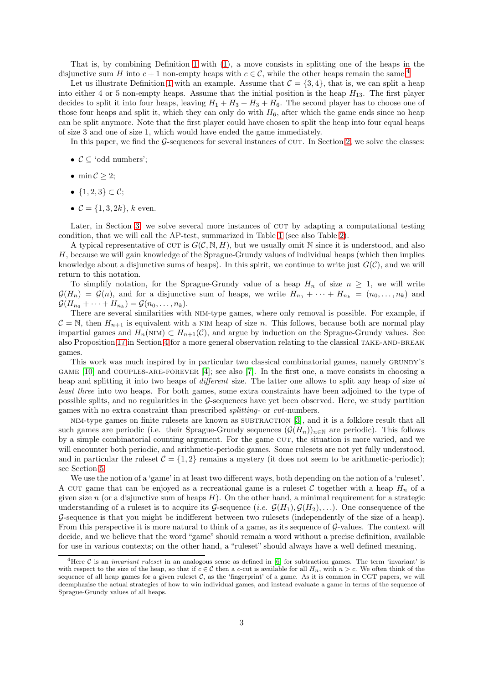That is, by combining Definition [1](#page-1-4) with [\(1\)](#page-1-3), a move consists in splitting one of the heaps in the disjunctive sum H into  $c + 1$  non-empty heaps with  $c \in \mathcal{C}$ , while the other heaps remain the same.<sup>[4](#page-2-0)</sup>

Let us illustrate Definition [1](#page-1-4) with an example. Assume that  $C = \{3, 4\}$ , that is, we can split a heap into either 4 or 5 non-empty heaps. Assume that the initial position is the heap  $H_{13}$ . The first player decides to split it into four heaps, leaving  $H_1 + H_3 + H_3 + H_6$ . The second player has to choose one of those four heaps and split it, which they can only do with  $H_6$ , after which the game ends since no heap can be split anymore. Note that the first player could have chosen to split the heap into four equal heaps of size 3 and one of size 1, which would have ended the game immediately.

In this paper, we find the  $G$ -sequences for several instances of CUT. In Section [2,](#page-3-0) we solve the classes:

- $C \subseteq \text{'odd numbers'}$ ;
- min  $\mathcal{C} > 2$ ;
- $\{1, 2, 3\} \subset C$ :
- $C = \{1, 3, 2k\}, k$  even.

Later, in Section [3,](#page-7-0) we solve several more instances of CUT by adapting a computational testing condition, that we will call the AP-test, summarized in Table [1](#page-15-0) (see also Table [2\)](#page-18-0).

A typical representative of CUT is  $G(\mathcal{C}, \mathbb{N}, H)$ , but we usually omit N since it is understood, and also H, because we will gain knowledge of the Sprague-Grundy values of individual heaps (which then implies knowledge about a disjunctive sums of heaps). In this spirit, we continue to write just  $G(\mathcal{C})$ , and we will return to this notation.

To simplify notation, for the Sprague-Grundy value of a heap  $H_n$  of size  $n \geq 1$ , we will write  $\mathcal{G}(H_n) = \mathcal{G}(n)$ , and for a disjunctive sum of heaps, we write  $H_{n_0} + \cdots + H_{n_k} = (n_0, \ldots, n_k)$  and  $\mathcal{G}(H_{n_0} + \cdots + H_{n_k}) = \mathcal{G}(n_0, \ldots, n_k).$ 

There are several similarities with nim-type games, where only removal is possible. For example, if  $C = N$ , then  $H_{n+1}$  is equivalent with a NIM heap of size n. This follows, because both are normal play impartial games and  $H_n(NIM) \subset H_{n+1}(\mathcal{C})$ , and argue by induction on the Sprague-Grundy values. See also Proposition [17](#page-17-0) in Section [4](#page-14-0) for a more general observation relating to the classical TAKE-AND-BREAK games.

This work was much inspired by in particular two classical combinatorial games, namely GRUNDY'S game [\[10\]](#page-20-1) and couples-are-forever [\[4\]](#page-19-0); see also [\[7\]](#page-19-1). In the first one, a move consists in choosing a heap and splitting it into two heaps of *different* size. The latter one allows to split any heap of size at least three into two heaps. For both games, some extra constraints have been adjoined to the type of possible splits, and no regularities in the G-sequences have yet been observed. Here, we study partition games with no extra constraint than prescribed splitting- or cut-numbers.

NIM-type games on finite rulesets are known as SUBTRACTION [\[3\]](#page-19-2), and it is a folklore result that all such games are periodic (i.e. their Sprague-Grundy sequences  $(\mathcal{G}(H_n))_{n\in\mathbb{N}}$  are periodic). This follows by a simple combinatorial counting argument. For the game CUT, the situation is more varied, and we will encounter both periodic, and arithmetic-periodic games. Some rulesets are not yet fully understood, and in particular the ruleset  $C = \{1, 2\}$  remains a mystery (it does not seem to be arithmetic-periodic); see Section [5.](#page-18-1)

We use the notion of a 'game' in at least two different ways, both depending on the notion of a 'ruleset'. A CUT game that can be enjoyed as a recreational game is a ruleset C together with a heap  $H_n$  of a given size  $n$  (or a disjunctive sum of heaps  $H$ ). On the other hand, a minimal requirement for a strategic understanding of a ruleset is to acquire its G-sequence (*i.e.*  $\mathcal{G}(H_1), \mathcal{G}(H_2), \ldots$ ). One consequence of the G-sequence is that you might be indifferent between two rulesets (independently of the size of a heap). From this perspective it is more natural to think of a game, as its sequence of G-values. The context will decide, and we believe that the word "game" should remain a word without a precise definition, available for use in various contexts; on the other hand, a "ruleset" should always have a well defined meaning.

<span id="page-2-0"></span><sup>&</sup>lt;sup>4</sup>Here C is an *invariant ruleset* in an analogous sense as defined in [\[6\]](#page-19-3) for subtraction games. The term 'invariant' is with respect to the size of the heap, so that if  $c \in \mathcal{C}$  then a c-cut is available for all  $H_n$ , with  $n > c$ . We often think of the sequence of all heap games for a given ruleset  $C$ , as the 'fingerprint' of a game. As it is common in CGT papers, we will deemphazise the actual strategies of how to win individual games, and instead evaluate a game in terms of the sequence of Sprague-Grundy values of all heaps.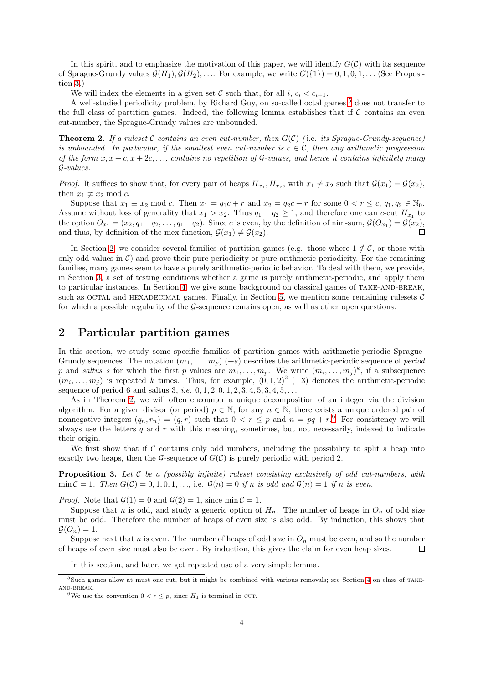In this spirit, and to emphasize the motivation of this paper, we will identify  $G(\mathcal{C})$  with its sequence of Sprague-Grundy values  $\mathcal{G}(H_1), \mathcal{G}(H_2), \ldots$  For example, we write  $G({1}) = 0, 1, 0, 1, \ldots$  (See Proposition [3.](#page-3-1))

We will index the elements in a given set C such that, for all i,  $c_i < c_{i+1}$ .

A well-studied periodicity problem, by Richard Guy, on so-called octal games,<sup>[5](#page-3-2)</sup> does not transfer to the full class of partition games. Indeed, the following lemma establishes that if  $\mathcal C$  contains an even cut-number, the Sprague-Grundy values are unbounded.

<span id="page-3-3"></span>**Theorem 2.** If a rules t C contains an even cut-number, then  $G(\mathcal{C})$  (i.e. its Sprague-Grundy-sequence) is unbounded. In particular, if the smallest even cut-number is  $c \in \mathcal{C}$ , then any arithmetic progression of the form  $x, x + c, x + 2c, \ldots$ , contains no repetition of G-values, and hence it contains infinitely many G-values.

*Proof.* It suffices to show that, for every pair of heaps  $H_{x_1}, H_{x_2}$ , with  $x_1 \neq x_2$  such that  $\mathcal{G}(x_1) = \mathcal{G}(x_2)$ , then  $x_1 \not\equiv x_2 \mod c$ .

Suppose that  $x_1 \equiv x_2 \mod c$ . Then  $x_1 = q_1 c + r$  and  $x_2 = q_2 c + r$  for some  $0 < r \leq c$ ,  $q_1, q_2 \in \mathbb{N}_0$ . Assume without loss of generality that  $x_1 > x_2$ . Thus  $q_1 - q_2 \ge 1$ , and therefore one can c-cut  $H_{x_1}$  to the option  $O_{x_1} = (x_2, q_1 - q_2, \ldots, q_1 - q_2)$ . Since c is even, by the definition of nim-sum,  $\mathcal{G}(O_{x_1}) = \mathcal{G}(x_2)$ , and thus, by definition of the mex-function,  $\mathcal{G}(x_1) \neq \mathcal{G}(x_2)$ .  $\Box$ 

In Section [2,](#page-3-0) we consider several families of partition games (e.g. those where  $1 \notin \mathcal{C}$ , or those with only odd values in  $\mathcal{C}$ ) and prove their pure periodicity or pure arithmetic-periodicity. For the remaining families, many games seem to have a purely arithmetic-periodic behavior. To deal with them, we provide, in Section [3,](#page-7-0) a set of testing conditions whether a game is purely arithmetic-periodic, and apply them to particular instances. In Section [4,](#page-14-0) we give some background on classical games of TAKE-AND-BREAK, such as OCTAL and HEXADECIMAL games. Finally, in Section [5,](#page-18-1) we mention some remaining rulesets  $C$ for which a possible regularity of the G-sequence remains open, as well as other open questions.

## <span id="page-3-0"></span>2 Particular partition games

In this section, we study some specific families of partition games with arithmetic-periodic Sprague-Grundy sequences. The notation  $(m_1, \ldots, m_p)$  (+s) describes the arithmetic-periodic sequence of *period* p and saltus s for which the first p values are  $m_1, \ldots, m_p$ . We write  $(m_i, \ldots, m_j)^k$ , if a subsequence  $(m_i, \ldots, m_j)$  is repeated k times. Thus, for example,  $(0, 1, 2)^2$  (+3) denotes the arithmetic-periodic sequence of period 6 and saltus 3, *i.e.*  $0, 1, 2, 0, 1, 2, 3, 4, 5, 3, 4, 5, ...$ 

As in Theorem [2,](#page-3-3) we will often encounter a unique decomposition of an integer via the division algorithm. For a given divisor (or period)  $p \in \mathbb{N}$ , for any  $n \in \mathbb{N}$ , there exists a unique ordered pair of nonnegative integers  $(q_n, r_n) = (q, r)$  such that  $0 < r \leq p$  and  $n = pq + r<sup>6</sup>$  $n = pq + r<sup>6</sup>$  $n = pq + r<sup>6</sup>$  For consistency we will always use the letters  $q$  and  $r$  with this meaning, sometimes, but not necessarily, indexed to indicate their origin.

We first show that if  $\mathcal C$  contains only odd numbers, including the possibility to split a heap into exactly two heaps, then the G-sequence of  $G(\mathcal{C})$  is purely periodic with period 2.

<span id="page-3-1"></span>**Proposition 3.** Let  $\mathcal{C}$  be a (possibly infinite) ruleset consisting exclusively of odd cut-numbers, with min  $C = 1$ . Then  $G(C) = 0, 1, 0, 1, \ldots$ , i.e.  $G(n) = 0$  if n is odd and  $G(n) = 1$  if n is even.

*Proof.* Note that  $\mathcal{G}(1) = 0$  and  $\mathcal{G}(2) = 1$ , since min  $\mathcal{C} = 1$ .

Suppose that n is odd, and study a generic option of  $H_n$ . The number of heaps in  $O_n$  of odd size must be odd. Therefore the number of heaps of even size is also odd. By induction, this shows that  $\mathcal{G}(O_n)=1.$ 

Suppose next that n is even. The number of heaps of odd size in  $O_n$  must be even, and so the number of heaps of even size must also be even. By induction, this gives the claim for even heap sizes.  $\Box$ 

In this section, and later, we get repeated use of a very simple lemma.

 $5$ Such games allow at must one cut, but it might be combined with various removals; see Section [4](#page-14-0) on class of TAKEand-break.

<span id="page-3-4"></span><span id="page-3-2"></span><sup>&</sup>lt;sup>6</sup>We use the convention  $0 < r \leq p$ , since  $H_1$  is terminal in CUT.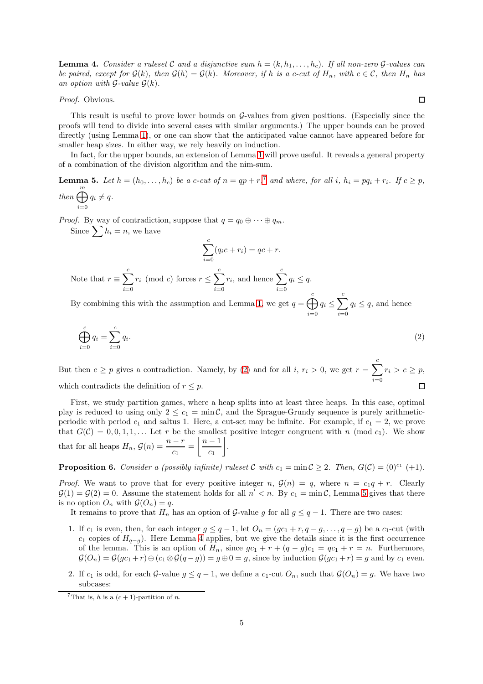<span id="page-4-3"></span>**Lemma 4.** Consider a ruleset C and a disjunctive sum  $h = (k, h_1, \ldots, h_c)$ . If all non-zero G-values can be paired, except for  $\mathcal{G}(k)$ , then  $\mathcal{G}(h) = \mathcal{G}(k)$ . Moreover, if h is a c-cut of  $H_n$ , with  $c \in \mathcal{C}$ , then  $H_n$  has an option with  $\mathcal{G}\text{-value } \mathcal{G}(k)$ .

Proof. Obvious.

This result is useful to prove lower bounds on  $\mathcal{G}\text{-values}$  from given positions. (Especially since the proofs will tend to divide into several cases with similar arguments.) The upper bounds can be proved directly (using Lemma [1\)](#page-1-5), or one can show that the anticipated value cannot have appeared before for smaller heap sizes. In either way, we rely heavily on induction.

In fact, for the upper bounds, an extension of Lemma [1](#page-1-5) will prove useful. It reveals a general property of a combination of the division algorithm and the nim-sum.

<span id="page-4-2"></span>**Lemma 5.** Let  $h = (h_0, \ldots, h_c)$  be a c-cut of  $n = qp + r$ ,<sup>[7](#page-4-0)</sup> and where, for all i,  $h_i = pq_i + r_i$ . If  $c \geq p$ , then  $\bigoplus^m$  $i=0$  $q_i \neq q$ .

*Proof.* By way of contradiction, suppose that  $q = q_0 \oplus \cdots \oplus q_m$ .

Since  $\sum_i h_i = n$ , we have

<span id="page-4-1"></span>
$$
\sum_{i=0}^{c} (q_i c + r_i) = qc + r.
$$

Note that  $r \equiv \sum_{n=1}^{c}$  $i=0$  $r_i \pmod{c}$  forces  $r \leq \sum_{i=1}^{c}$  $i=0$  $r_i$ , and hence  $\sum^c$  $i=0$  $q_i \leq q$ .

By combining this with the assumption and Lemma [1,](#page-1-5) we get  $q = \bigoplus^{c}$  $i=0$  $q_i \leq \sum^c$  $i=0$  $q_i \leq q$ , and hence

$$
\bigoplus_{i=0}^{c} q_i = \sum_{i=0}^{c} q_i.
$$
\n
$$
(2)
$$

But then  $c \geq p$  gives a contradiction. Namely, by [\(2\)](#page-4-1) and for all i,  $r_i > 0$ , we get  $r = \sum_{i=1}^{c}$  $r_i > c \geq p$ ,  $i=0$  $\Box$ which contradicts the definition of  $r \leq p$ .

First, we study partition games, where a heap splits into at least three heaps. In this case, optimal play is reduced to using only  $2 \leq c_1 = \min \mathcal{C}$ , and the Sprague-Grundy sequence is purely arithmeticperiodic with period  $c_1$  and saltus 1. Here, a cut-set may be infinite. For example, if  $c_1 = 2$ , we prove that  $G(\mathcal{C}) = 0, 0, 1, 1, \ldots$  Let r be the smallest positive integer congruent with n (mod  $c_1$ ). We show that for all heaps  $H_n$ ,  $\mathcal{G}(n) = \frac{n-r}{c_1} = \left\lfloor \frac{n-1}{c_1} \right\rfloor$  $\overline{c_1}$ .

<span id="page-4-4"></span>**Proposition 6.** Consider a (possibly infinite) ruleset C with  $c_1 = \min C \ge 2$ . Then,  $G(C) = (0)^{c_1} (+1)$ .

*Proof.* We want to prove that for every positive integer n,  $\mathcal{G}(n) = q$ , where  $n = c_1q + r$ . Clearly  $G(1) = G(2) = 0$ . Assume the statement holds for all  $n' < n$ . By  $c_1 = \min C$ , Lemma [5](#page-4-2) gives that there is no option  $O_n$  with  $\mathcal{G}(O_n) = q$ .

It remains to prove that  $H_n$  has an option of G-value g for all  $g \leq q-1$ . There are two cases:

- 1. If  $c_1$  is even, then, for each integer  $g \leq q-1$ , let  $O_n = (gc_1 + r, q g, \ldots, q g)$  be a  $c_1$ -cut (with  $c_1$  copies of  $H_{q-q}$ ). Here Lemma [4](#page-4-3) applies, but we give the details since it is the first occurrence of the lemma. This is an option of  $H_n$ , since  $gc_1 + r + (q - g)c_1 = qc_1 + r = n$ . Furthermore,  $\mathcal{G}(O_n) = \mathcal{G}(gc_1+r) \oplus (c_1 \otimes \mathcal{G}(q-g)) = g \oplus 0 = g$ , since by induction  $\mathcal{G}(gc_1+r) = g$  and by  $c_1$  even.
- 2. If c<sub>1</sub> is odd, for each G-value  $g \leq q-1$ , we define a c<sub>1</sub>-cut  $O_n$ , such that  $\mathcal{G}(O_n) = g$ . We have two subcases:

<span id="page-4-0"></span><sup>&</sup>lt;sup>7</sup>That is, h is a  $(c+1)$ -partition of n.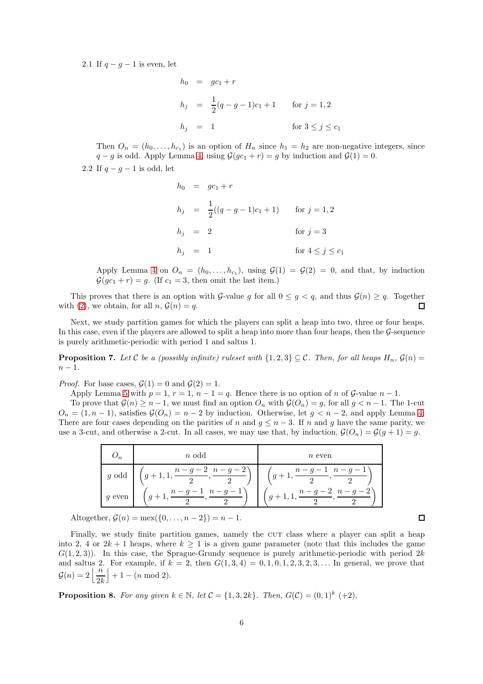2.1 If  $q - g - 1$  is even, let

$$
h_0 = gc_1 + r
$$
  
\n
$$
h_j = \frac{1}{2}(q - g - 1)c_1 + 1 \quad \text{for } j = 1, 2
$$
  
\n
$$
h_j = 1 \quad \text{for } 3 \le j \le c_1
$$

Then  $O_n = (h_0, \ldots, h_{c_1})$  is an option of  $H_n$  since  $h_1 = h_2$  are non-negative integers, since  $q - g$  is odd. Apply Lemma [4,](#page-4-3) using  $\mathcal{G}(gc_1 + r) = g$  by induction and  $\mathcal{G}(1) = 0$ .

2.2 If  $q - q - 1$  is odd, let

$$
h_0 = gc_1 + r
$$
  
\n
$$
h_j = \frac{1}{2}((q - g - 1)c_1 + 1)
$$
 for  $j = 1, 2$   
\n
$$
h_j = 2
$$
 for  $j = 3$   
\n
$$
h_j = 1
$$
 for  $4 \le j \le c_1$ 

Apply Lemma [4](#page-4-3) on  $O_n = (h_0, \ldots, h_{c_1}),$  using  $\mathcal{G}(1) = \mathcal{G}(2) = 0$ , and that, by induction  $\mathcal{G}(qc_1 + r) = q$ . (If  $c_1 = 3$ , then omit the last item.)

This proves that there is an option with G-value g for all  $0 \leq g < q$ , and thus  $\mathcal{G}(n) \geq q$ . Together with [\(2\)](#page-4-1), we obtain, for all  $n, \mathcal{G}(n) = q$ .  $\Box$ 

Next, we study partition games for which the players can split a heap into two, three or four heaps. In this case, even if the players are allowed to split a heap into more than four heaps, then the  $\mathcal G$ -sequence is purely arithmetic-periodic with period 1 and saltus 1.

<span id="page-5-1"></span>**Proposition 7.** Let C be a (possibly infinite) ruleset with  $\{1,2,3\} \subseteq \mathcal{C}$ . Then, for all heaps  $H_n$ ,  $\mathcal{G}(n)$  =  $n-1$ .

*Proof.* For base cases,  $\mathcal{G}(1) = 0$  and  $\mathcal{G}(2) = 1$ .

Apply Lemma [5](#page-4-2) with  $p = 1$ ,  $r = 1$ ,  $n - 1 = q$ . Hence there is no option of n of G-value  $n - 1$ .

To prove that  $\mathcal{G}(n) \geq n-1$ , we must find an option  $O_n$  with  $\mathcal{G}(O_n) = g$ , for all  $g < n-1$ . The 1-cut  $O_n = (1, n-1)$ , satisfies  $\mathcal{G}(O_n) = n-2$  by induction. Otherwise, let  $g < n-2$ , and apply Lemma [4.](#page-4-3) There are four cases depending on the parities of n and  $q \leq n-3$ . If n and q have the same parity, we use a 3-cut, and otherwise a 2-cut. In all cases, we may use that, by induction,  $\mathcal{G}(O_n) = \mathcal{G}(q+1) = q$ .

| $g \text{ odd } \left( g+1,1,\frac{n-g-2}{2},\frac{n-g-2}{2} \right) \left( g+1,\frac{n-g-1}{2},\frac{n-g-1}{2} \right)$<br>$g \text{ even } \left  \left( g+1, \frac{n-g-1}{2}, \frac{n-g-1}{2} \right) \right  \left( g+1, 1, \frac{n-g-2}{2}, \frac{n-g-2}{2} \right)$ |  | $n$ odd | $n$ even |
|---------------------------------------------------------------------------------------------------------------------------------------------------------------------------------------------------------------------------------------------------------------------------|--|---------|----------|
|                                                                                                                                                                                                                                                                           |  |         |          |
|                                                                                                                                                                                                                                                                           |  |         |          |

Altogether,  $G(n) = \max({0, ..., n-2}) = n-1$ .

Finally, we study finite partition games, namely the CUT class where a player can split a heap into 2, 4 or  $2k + 1$  heaps, where  $k \ge 1$  is a given game parameter (note that this includes the game  $G(1, 2, 3)$ . In this case, the Sprague-Grundy sequence is purely arithmetic-periodic with period 2k and saltus 2. For example, if  $k = 2$ , then  $G(1, 3, 4) = 0, 1, 0, 1, 2, 3, 2, 3, \ldots$  In general, we prove that  $\mathcal{G}(n) = 2 \left\lfloor \frac{n}{2k} \right\rfloor$  $+1 - (n \mod 2).$ 

<span id="page-5-0"></span>**Proposition 8.** For any given  $k \in \mathbb{N}$ , let  $\mathcal{C} = \{1,3,2k\}$ . Then,  $G(\mathcal{C}) = (0,1)^k (+2)$ .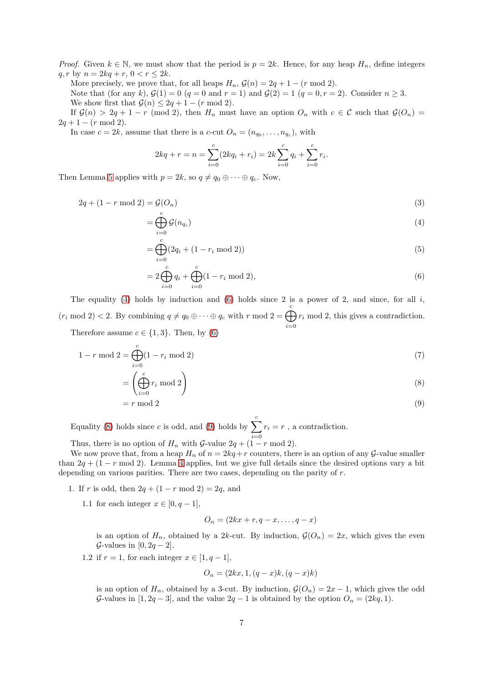*Proof.* Given  $k \in \mathbb{N}$ , we must show that the period is  $p = 2k$ . Hence, for any heap  $H_n$ , define integers q, r by  $n = 2kq + r, 0 < r \leq 2k$ .

More precisely, we prove that, for all heaps  $H_n$ ,  $\mathcal{G}(n) = 2q + 1 - (r \mod 2)$ .

Note that (for any k),  $\mathcal{G}(1) = 0$  (q = 0 and r = 1) and  $\mathcal{G}(2) = 1$  (q = 0, r = 2). Consider  $n \geq 3$ . We show first that  $\mathcal{G}(n) \leq 2q + 1 - (r \mod 2)$ .

If  $\mathcal{G}(n) > 2q + 1 - r \pmod{2}$ , then  $H_n$  must have an option  $O_n$  with  $c \in \mathcal{C}$  such that  $\mathcal{G}(O_n)$  $2q + 1 - (r \mod 2).$ 

In case  $c = 2k$ , assume that there is a c-cut  $O_n = (n_{q_0}, \ldots, n_{q_c})$ , with

$$
2kq + r = n = \sum_{i=0}^{c} (2kq_i + r_i) = 2k \sum_{i=0}^{c} q_i + \sum_{i=0}^{c} r_i.
$$

Then Lemma [5](#page-4-2) applies with  $p = 2k$ , so  $q \neq q_0 \oplus \cdots \oplus q_c$ . Now,

$$
2q + (1 - r \bmod 2) = \mathcal{G}(O_n) \tag{3}
$$

$$
=\bigoplus_{i=0}^{c} \mathcal{G}(n_{q_i})
$$
\n(4)

<span id="page-6-0"></span>
$$
=\bigoplus_{i=0}^{c} (2q_i + (1 - r_i \bmod 2))
$$
\n(5)

<span id="page-6-1"></span>
$$
=2\bigoplus_{i=0}^{c}q_i+\bigoplus_{i=0}^{c}(1-r_i \bmod 2),\tag{6}
$$

The equality [\(4\)](#page-6-0) holds by induction and [\(6\)](#page-6-1) holds since 2 is a power of 2, and since, for all  $i$ ,  $(r_i \mod 2) < 2$ . By combining  $q \neq q_0 \oplus \cdots \oplus q_c$  with r mod  $2 = \bigoplus^c$  $i=0$  $r_i$  mod 2, this gives a contradiction. Therefore assume  $c \in \{1, 3\}$ . Then, by [\(6\)](#page-6-1)

$$
1 - r \mod 2 = \bigoplus_{i=0}^{c} (1 - r_i \mod 2)
$$
\n(7)

$$
= \left(\bigoplus_{i=0}^{c} r_i \bmod 2\right) \tag{8}
$$

$$
= r \bmod 2 \tag{9}
$$

Equality [\(8\)](#page-6-2) holds since c is odd, and [\(9\)](#page-6-3) holds by  $\sum_{i=1}^{c} r_i = r$ , a contradiction.

Thus, there is no option of  $H_n$  with  $\mathcal{G}\text{-value } 2q + (1 - r \mod 2)$ .

We now prove that, from a heap  $H_n$  of  $n = 2kq + r$  counters, there is an option of any G-value smaller than  $2q + (1 - r \mod 2)$ . Lemma [4](#page-4-3) applies, but we give full details since the desired options vary a bit depending on various parities. There are two cases, depending on the parity of r.

- 1. If r is odd, then  $2q + (1 r \mod 2) = 2q$ , and
	- 1.1 for each integer  $x \in [0, q-1]$ ,

<span id="page-6-3"></span><span id="page-6-2"></span>
$$
O_n = (2kx + r, q - x, \dots, q - x)
$$

is an option of  $H_n$ , obtained by a 2k-cut. By induction,  $\mathcal{G}(O_n) = 2x$ , which gives the even  $\mathcal{G}\text{-values in }[0, 2q-2].$ 

1.2 if  $r = 1$ , for each integer  $x \in [1, q-1]$ ,

$$
O_n = (2kx, 1, (q-x)k, (q-x)k)
$$

is an option of  $H_n$ , obtained by a 3-cut. By induction,  $\mathcal{G}(O_n) = 2x - 1$ , which gives the odd G-values in  $[1, 2q-3]$ , and the value  $2q-1$  is obtained by the option  $O_n = (2kq, 1)$ .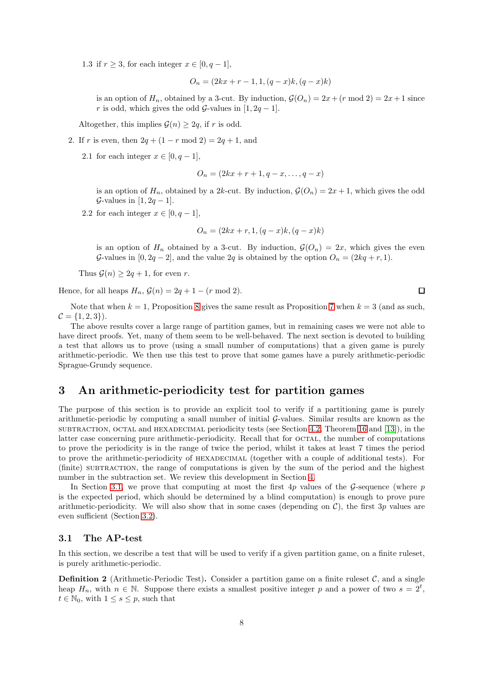1.3 if  $r \geq 3$ , for each integer  $x \in [0, q-1]$ ,

$$
O_n = (2kx + r - 1, 1, (q - x)k, (q - x)k)
$$

is an option of  $H_n$ , obtained by a 3-cut. By induction,  $\mathcal{G}(O_n) = 2x + (r \mod 2) = 2x + 1$  since r is odd, which gives the odd  $\mathcal{G}\text{-values}$  in [1, 2q – 1].

Altogether, this implies  $\mathcal{G}(n) \geq 2q$ , if r is odd.

- 2. If r is even, then  $2q + (1 r \mod 2) = 2q + 1$ , and
	- 2.1 for each integer  $x \in [0, q-1]$ ,

$$
O_n = (2kx + r + 1, q - x, \dots, q - x)
$$

is an option of  $H_n$ , obtained by a 2k-cut. By induction,  $\mathcal{G}(O_n) = 2x + 1$ , which gives the odd  $\mathcal{G}\text{-values in }[1, 2q-1].$ 

2.2 for each integer  $x \in [0, q-1]$ ,

$$
O_n = (2kx + r, 1, (q - x)k, (q - x)k)
$$

is an option of  $H_n$  obtained by a 3-cut. By induction,  $\mathcal{G}(O_n) = 2x$ , which gives the even G-values in  $[0, 2q-2]$ , and the value  $2q$  is obtained by the option  $O_n = (2kq + r, 1)$ .

Thus  $\mathcal{G}(n) \geq 2q + 1$ , for even r.

Hence, for all heaps  $H_n$ ,  $\mathcal{G}(n) = 2q + 1 - (r \mod 2)$ .

Note that when  $k = 1$ , Proposition [8](#page-5-0) gives the same result as Proposition [7](#page-5-1) when  $k = 3$  (and as such,  $C = \{1, 2, 3\}.$ 

The above results cover a large range of partition games, but in remaining cases we were not able to have direct proofs. Yet, many of them seem to be well-behaved. The next section is devoted to building a test that allows us to prove (using a small number of computations) that a given game is purely arithmetic-periodic. We then use this test to prove that some games have a purely arithmetic-periodic Sprague-Grundy sequence.

## <span id="page-7-0"></span>3 An arithmetic-periodicity test for partition games

The purpose of this section is to provide an explicit tool to verify if a partitioning game is purely arithmetic-periodic by computing a small number of initial G-values. Similar results are known as the  $SUBTRACTION, OCTAL and HEXADECIMAL periodicity tests (see Section 4.2, Theorem 16 and [13]), in the$  $SUBTRACTION, OCTAL and HEXADECIMAL periodicity tests (see Section 4.2, Theorem 16 and [13]), in the$  $SUBTRACTION, OCTAL and HEXADECIMAL periodicity tests (see Section 4.2, Theorem 16 and [13]), in the$  $SUBTRACTION, OCTAL and HEXADECIMAL periodicity tests (see Section 4.2, Theorem 16 and [13]), in the$  $SUBTRACTION, OCTAL and HEXADECIMAL periodicity tests (see Section 4.2, Theorem 16 and [13]), in the$  $SUBTRACTION, OCTAL and HEXADECIMAL periodicity tests (see Section 4.2, Theorem 16 and [13]), in the$  $SUBTRACTION, OCTAL and HEXADECIMAL periodicity tests (see Section 4.2, Theorem 16 and [13]), in the$ latter case concerning pure arithmetic-periodicity. Recall that for octal, the number of computations to prove the periodicity is in the range of twice the period, whilst it takes at least 7 times the period to prove the arithmetic-periodicity of HEXADECIMAL (together with a couple of additional tests). For (finite) subtraction, the range of computations is given by the sum of the period and the highest number in the subtraction set. We review this development in Section [4.](#page-14-0)

In Section [3.1,](#page-7-1) we prove that computing at most the first  $4p$  values of the G-sequence (where p is the expected period, which should be determined by a blind computation) is enough to prove pure arithmetic-periodicity. We will also show that in some cases (depending on  $\mathcal{C}$ ), the first 3p values are even sufficient (Section [3.2\)](#page-12-0).

### <span id="page-7-1"></span>3.1 The AP-test

In this section, we describe a test that will be used to verify if a given partition game, on a finite ruleset, is purely arithmetic-periodic.

**Definition 2** (Arithmetic-Periodic Test). Consider a partition game on a finite ruleset  $\mathcal{C}$ , and a single heap  $H_n$ , with  $n \in \mathbb{N}$ . Suppose there exists a smallest positive integer p and a power of two  $s = 2^t$ ,  $t \in \mathbb{N}_0$ , with  $1 \leq s \leq p$ , such that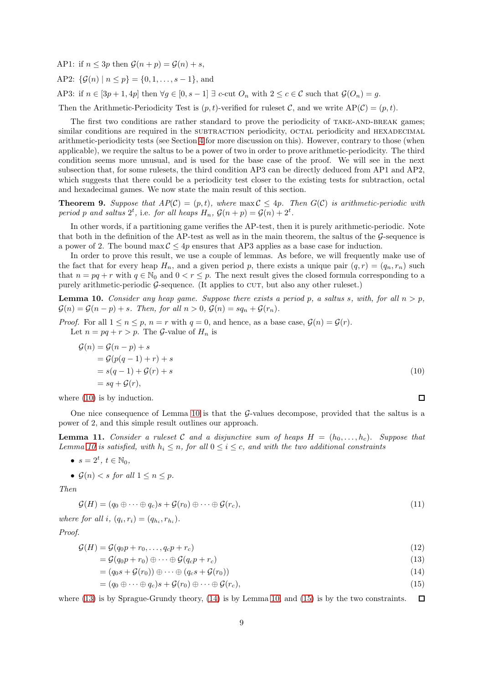AP1: if  $n \leq 3p$  then  $\mathcal{G}(n+p) = \mathcal{G}(n) + s$ , AP2:  $\{\mathcal{G}(n) \mid n \leq p\} = \{0, 1, \ldots, s - 1\}$ , and

AP3: if  $n \in [3p+1, 4p]$  then  $\forall g \in [0, s-1] \exists c$ -cut  $O_n$  with  $2 \le c \in \mathcal{C}$  such that  $\mathcal{G}(O_n) = g$ .

Then the Arithmetic-Periodicity Test is  $(p, t)$ -verified for ruleset C, and we write  $AP(C) = (p, t)$ .

The first two conditions are rather standard to prove the periodicity of TAKE-AND-BREAK games; similar conditions are required in the SUBTRACTION periodicity, OCTAL periodicity and HEXADECIMAL arithmetic-periodicity tests (see Section [4](#page-14-0) for more discussion on this). However, contrary to those (when applicable), we require the saltus to be a power of two in order to prove arithmetic-periodicity. The third condition seems more unusual, and is used for the base case of the proof. We will see in the next subsection that, for some rulesets, the third condition AP3 can be directly deduced from AP1 and AP2, which suggests that there could be a periodicity test closer to the existing tests for subtraction, octal and hexadecimal games. We now state the main result of this section.

<span id="page-8-6"></span>**Theorem 9.** Suppose that  $AP(C) = (p, t)$ , where  $\max C \leq 4p$ . Then  $G(C)$  is arithmetic-periodic with period p and saltus  $2^t$ , i.e. for all heaps  $H_n$ ,  $\mathcal{G}(n+p) = \mathcal{G}(n) + 2^t$ .

In other words, if a partitioning game verifies the AP-test, then it is purely arithmetic-periodic. Note that both in the definition of the AP-test as well as in the main theorem, the saltus of the  $\mathcal G$ -sequence is a power of 2. The bound  $\max \mathcal{C} \leq 4p$  ensures that AP3 applies as a base case for induction.

In order to prove this result, we use a couple of lemmas. As before, we will frequently make use of the fact that for every heap  $H_n$ , and a given period p, there exists a unique pair  $(q, r) = (q_n, r_n)$  such that  $n = pq + r$  with  $q \in \mathbb{N}_0$  and  $0 < r \leq p$ . The next result gives the closed formula corresponding to a purely arithmetic-periodic  $G$ -sequence. (It applies to CUT, but also any other ruleset.)

<span id="page-8-1"></span>**Lemma 10.** Consider any heap game. Suppose there exists a period p, a saltus s, with, for all  $n > p$ ,  $\mathcal{G}(n) = \mathcal{G}(n-p) + s$ . Then, for all  $n > 0$ ,  $\mathcal{G}(n) = sq_n + \mathcal{G}(r_n)$ .

*Proof.* For all  $1 \le n \le p$ ,  $n = r$  with  $q = 0$ , and hence, as a base case,  $\mathcal{G}(n) = \mathcal{G}(r)$ . Let  $n = pq + r > p$ . The *G*-value of  $H_n$  is

$$
G(n) = G(n-p) + s
$$
  
= 
$$
G(p(q-1) + r) + s
$$
  
= 
$$
s(q-1) + G(r) + s
$$
  
= 
$$
sq + G(r),
$$
 (10)

<span id="page-8-4"></span><span id="page-8-3"></span><span id="page-8-2"></span><span id="page-8-0"></span> $\Box$ 

where  $(10)$  is by induction.

One nice consequence of Lemma [10](#page-8-1) is that the G-values decompose, provided that the saltus is a power of 2, and this simple result outlines our approach.

<span id="page-8-5"></span>**Lemma 11.** Consider a ruleset C and a disjunctive sum of heaps  $H = (h_0, \ldots, h_c)$ . Suppose that Lemma [10](#page-8-1) is satisfied, with  $h_i \leq n$ , for all  $0 \leq i \leq c$ , and with the two additional constraints

•  $s = 2^t, t \in \mathbb{N}_0,$ 

• 
$$
\mathcal{G}(n) < s
$$
 for all  $1 \leq n \leq p$ .

Then

<span id="page-8-7"></span>
$$
\mathcal{G}(H) = (q_0 \oplus \cdots \oplus q_c)s + \mathcal{G}(r_0) \oplus \cdots \oplus \mathcal{G}(r_c),
$$
\n(11)

where for all i,  $(q_i, r_i) = (q_{h_i}, r_{h_i}).$ 

Proof.

$$
\mathcal{G}(H) = \mathcal{G}(q_0 p + r_0, \dots, q_c p + r_c) \tag{12}
$$

$$
= \mathcal{G}(q_0 p + r_0) \oplus \cdots \oplus \mathcal{G}(q_c p + r_c) \tag{13}
$$

$$
= (q_0s + \mathcal{G}(r_0)) \oplus \cdots \oplus (q_c s + \mathcal{G}(r_0))
$$
\n<sup>(14)</sup>

$$
= (q_0 \oplus \cdots \oplus q_c)s + \mathcal{G}(r_0) \oplus \cdots \oplus \mathcal{G}(r_c),
$$
\n<sup>(15)</sup>

where [\(13\)](#page-8-2) is by Sprague-Grundy theory, [\(14\)](#page-8-3) is by Lemma [10,](#page-8-1) and [\(15\)](#page-8-4) is by the two constraints.  $\Box$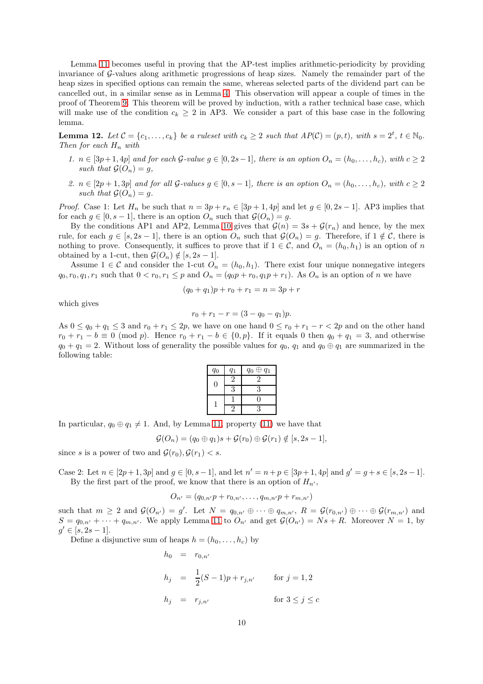Lemma [11](#page-8-5) becomes useful in proving that the AP-test implies arithmetic-periodicity by providing invariance of G-values along arithmetic progressions of heap sizes. Namely the remainder part of the heap sizes in specified options can remain the same, whereas selected parts of the dividend part can be cancelled out, in a similar sense as in Lemma [4.](#page-4-3) This observation will appear a couple of times in the proof of Theorem [9.](#page-8-6) This theorem will be proved by induction, with a rather technical base case, which will make use of the condition  $c_k \geq 2$  in AP3. We consider a part of this base case in the following lemma.

<span id="page-9-0"></span>**Lemma 12.** Let  $C = \{c_1, \ldots, c_k\}$  be a ruleset with  $c_k \geq 2$  such that  $AP(C) = (p, t)$ , with  $s = 2^t$ ,  $t \in \mathbb{N}_0$ . Then for each  $H_n$  with

- 1.  $n \in [3p+1, 4p]$  and for each G-value  $g \in [0, 2s-1]$ , there is an option  $O_n = (h_0, \ldots, h_c)$ , with  $c \geq 2$ such that  $\mathcal{G}(O_n) = q$ .
- 2.  $n \in [2p+1,3p]$  and for all  $\mathcal{G}\text{-values } q \in [0,s-1]$ , there is an option  $O_n = (h_0,\ldots,h_c)$ , with  $c \geq 2$ such that  $\mathcal{G}(O_n) = q$ .

*Proof.* Case 1: Let  $H_n$  be such that  $n = 3p + r_n \in [3p + 1, 4p]$  and let  $g \in [0, 2s - 1]$ . AP3 implies that for each  $g \in [0, s-1]$ , there is an option  $O_n$  such that  $\mathcal{G}(O_n) = g$ .

By the conditions AP1 and AP2, Lemma [10](#page-8-1) gives that  $\mathcal{G}(n) = 3s + \mathcal{G}(r_n)$  and hence, by the mex rule, for each  $g \in [s, 2s - 1]$ , there is an option  $O_n$  such that  $\mathcal{G}(O_n) = g$ . Therefore, if  $1 \notin \mathcal{C}$ , there is nothing to prove. Consequently, it suffices to prove that if  $1 \in \mathcal{C}$ , and  $O_n = (h_0, h_1)$  is an option of n obtained by a 1-cut, then  $\mathcal{G}(O_n) \notin [s, 2s - 1]$ .

Assume  $1 \in \mathcal{C}$  and consider the 1-cut  $O_n = (h_0, h_1)$ . There exist four unique nonnegative integers  $q_0, r_0, q_1, r_1$  such that  $0 < r_0, r_1 \leq p$  and  $O_n = (q_0 p + r_0, q_1 p + r_1)$ . As  $O_n$  is an option of n we have

$$
(q_0 + q_1)p + r_0 + r_1 = n = 3p + r
$$

which gives

$$
r_0 + r_1 - r = (3 - q_0 - q_1)p.
$$

As  $0 \le q_0 + q_1 \le 3$  and  $r_0 + r_1 \le 2p$ , we have on one hand  $0 \le r_0 + r_1 - r < 2p$  and on the other hand  $r_0 + r_1 - b \equiv 0 \pmod{p}$ . Hence  $r_0 + r_1 - b \in \{0, p\}$ . If it equals 0 then  $q_0 + q_1 = 3$ , and otherwise  $q_0 + q_1 = 2$ . Without loss of generality the possible values for  $q_0, q_1$  and  $q_0 \oplus q_1$  are summarized in the following table:

| $q_0$ | $q_1$ | $q_0 \oplus q_1$ |
|-------|-------|------------------|
| 0     |       | 2                |
|       |       | 3                |
|       |       | н                |
|       |       |                  |

In particular,  $q_0 \oplus q_1 \neq 1$ . And, by Lemma [11,](#page-8-5) property [\(11\)](#page-8-7) we have that

$$
\mathcal{G}(O_n)=(q_0\oplus q_1)s+\mathcal{G}(r_0)\oplus \mathcal{G}(r_1)\notin [s,2s-1],
$$

since s is a power of two and  $\mathcal{G}(r_0), \mathcal{G}(r_1) < s$ .

Case 2: Let  $n \in [2p+1, 3p]$  and  $g \in [0, s-1]$ , and let  $n' = n + p \in [3p+1, 4p]$  and  $g' = g + s \in [s, 2s-1]$ . By the first part of the proof, we know that there is an option of  $H_{n'}$ ,

$$
O_{n'} = (q_{0,n'}p + r_{0,n'}, \ldots, q_{m,n'}p + r_{m,n'})
$$

such that  $m \geq 2$  and  $\mathcal{G}(O_{n'}) = g'$ . Let  $N = q_{0,n'} \oplus \cdots \oplus q_{m,n'}$ ,  $R = \mathcal{G}(r_{0,n'}) \oplus \cdots \oplus \mathcal{G}(r_{m,n'})$  and  $S = q_{0,n'} + \cdots + q_{m,n'}$ . We apply Lemma [11](#page-8-5) to  $O_{n'}$  and get  $\mathcal{G}(O_{n'}) = Ns + R$ . Moreover  $N = 1$ , by  $g' \in [s, 2s - 1].$ 

Define a disjunctive sum of heaps  $h = (h_0, \ldots, h_c)$  by

$$
h_0 = r_{0,n'}
$$
  
\n
$$
h_j = \frac{1}{2}(S-1)p + r_{j,n'} \quad \text{for } j = 1, 2
$$
  
\n
$$
h_j = r_{j,n'} \quad \text{for } 3 \le j \le c
$$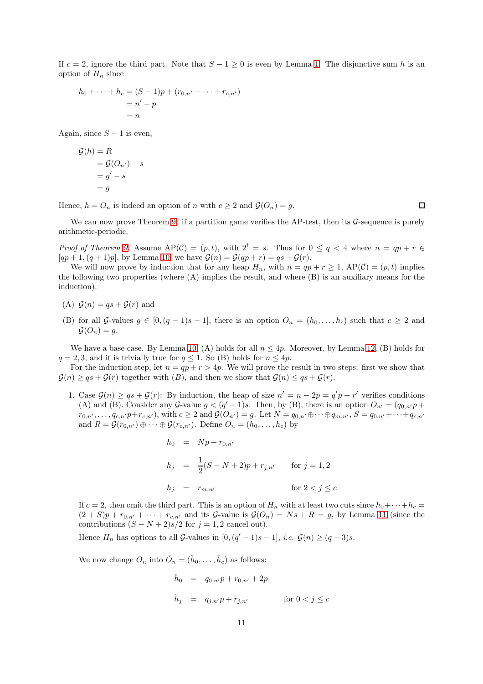If  $c = 2$ , ignore the third part. Note that  $S - 1 > 0$  is even by Lemma [1.](#page-1-5) The disjunctive sum h is an option of  $H_n$  since

$$
h_0 + \dots + h_c = (S - 1)p + (r_{0,n'} + \dots + r_{c,n'})
$$
  
=  $n' - p$   
=  $n$ 

Again, since  $S - 1$  is even,

$$
\begin{aligned} \mathcal{G}(h) &= R \\ &= \mathcal{G}(O_{n'}) - s \\ &= g' - s \\ &= g \end{aligned}
$$

Hence,  $h = O_n$  is indeed an option of n with  $c \geq 2$  and  $\mathcal{G}(O_n) = g$ .

 $\Box$ 

We can now prove Theorem [9:](#page-8-6) if a partition game verifies the AP-test, then its  $\mathcal G$ -sequence is purely arithmetic-periodic.

Proof of Theorem [9.](#page-8-6) Assume  $AP(\mathcal{C}) = (p, t)$ , with  $2^t = s$ . Thus for  $0 \le q < 4$  where  $n = qp + r \in$  $[qp+1,(q+1)p]$ , by Lemma [10,](#page-8-1) we have  $\mathcal{G}(n) = \mathcal{G}(qp+r) = qs + \mathcal{G}(r)$ .

We will now prove by induction that for any heap  $H_n$ , with  $n = qp + r \geq 1$ ,  $AP(\mathcal{C}) = (p, t)$  implies the following two properties (where (A) implies the result, and where (B) is an auxiliary means for the induction).

- (A)  $\mathcal{G}(n) = qs + \mathcal{G}(r)$  and
- (B) for all G-values  $g \in [0,(q-1)s-1]$ , there is an option  $O_n = (h_0,\ldots,h_c)$  such that  $c \geq 2$  and  $\mathcal{G}(O_n)=g.$

We have a base case. By Lemma [10,](#page-8-1) (A) holds for all  $n \leq 4p$ . Moreover, by Lemma [12,](#page-9-0) (B) holds for  $q = 2, 3$ , and it is trivially true for  $q \leq 1$ . So (B) holds for  $n \leq 4p$ .

For the induction step, let  $n = qp + r > 4p$ . We will prove the result in two steps: first we show that  $\mathcal{G}(n) \ge qs + \mathcal{G}(r)$  together with  $(B)$ , and then we show that  $\mathcal{G}(n) \le qs + \mathcal{G}(r)$ .

1. Case  $\mathcal{G}(n) \ge qs + \mathcal{G}(r)$ : By induction, the heap of size  $n' = n - 2p = q'p + r'$  verifies conditions (A) and (B). Consider any G-value  $g < (q'-1)s$ . Then, by (B), there is an option  $O_{n'} = (q_{0,n'}p + q_{0,n'})$  $r_{0,n'}, \ldots, q_{c,n'}p+r_{c,n'}),$  with  $c \geq 2$  and  $\mathcal{G}(O_{n'})=g$ . Let  $N=q_{0,n'}\oplus \cdots \oplus q_{m,n'}, S=q_{0,n'}+\cdots+q_{c,n'}$ and  $R = \mathcal{G}(r_{0,n'}) \oplus \cdots \oplus \mathcal{G}(r_{c,n'})$ . Define  $O_n = (h_0, \ldots, h_c)$  by

$$
h_0 = Np + r_{0,n'}
$$
  
\n
$$
h_j = \frac{1}{2}(S - N + 2)p + r_{j,n'} \quad \text{for } j = 1, 2
$$
  
\n
$$
h_j = r_{m,n'} \quad \text{for } 2 < j \le c
$$

If  $c = 2$ , then omit the third part. This is an option of  $H_n$  with at least two cuts since  $h_0 + \cdots + h_c =$  $(2 + S)p + r_{0,n'} + \cdots + r_{c,n'}$  and its  $G$ -value is  $\mathcal{G}(O_n) = Ns + R = g$ , by Lemma [11](#page-8-5) (since the contributions  $(S - N + 2)s/2$  for  $j = 1, 2$  cancel out).

Hence  $H_n$  has options to all  $\mathcal{G}\text{-values}$  in  $[0, (q'-1)s-1],$  *i.e.*  $\mathcal{G}(n) \ge (q-3)s$ .

We now change  $O_n$  into  $\hat{O}_n = (\hat{h}_0, \dots, \hat{h}_c)$  as follows:

$$
\hat{h}_0 = q_{0,n'}p + r_{0,n'} + 2p
$$
\n
$$
\hat{h}_j = q_{j,n'}p + r_{j,n'} \qquad \text{for } 0 < j \le c
$$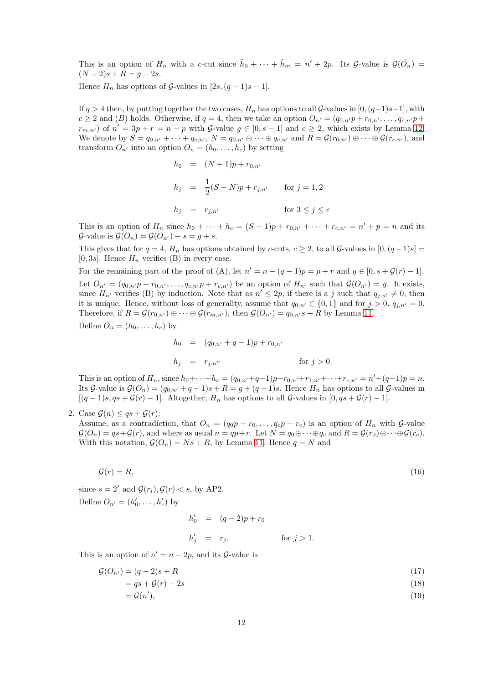This is an option of  $H_n$  with a c-cut since  $\hat{h}_0 + \cdots + \hat{h}_m = n' + 2p$ . Its G-value is  $\mathcal{G}(\hat{O}_n)$  $(N + 2)s + R = g + 2s$ .

Hence  $H_n$  has options of  $\mathcal{G}\text{-values}$  in  $[2s,(q-1)s-1]$ .

If  $q > 4$  then, by putting together the two cases,  $H_n$  has options to all  $\mathcal{G}\text{-values in }[0,(q-1)s-1]$ , with  $c \ge 2$  and (B) holds. Otherwise, if  $q = 4$ , then we take an option  $O_{n'} = (q_{0,n'}p + r_{0,n'}, \ldots, q_{c,n'}p +$  $r_{m,n'}$  of  $n' = 3p + r = n - p$  with G-value  $g \in [0, s-1]$  and  $c \geq 2$ , which exists by Lemma [12.](#page-9-0) We denote by  $S = q_{0,n'} + \cdots + q_{c,n'}$ ,  $N = q_{0,n'} \oplus \cdots \oplus q_{c,n'}$  and  $R = \mathcal{G}(r_{0,n'}) \oplus \cdots \oplus \mathcal{G}(r_{c,n'})$ , and transform  $O_{n'}$  into an option  $O_n = (h_0, \ldots, h_c)$  by setting

$$
h_0 = (N+1)p + r_{0,n'}
$$
  
\n
$$
h_j = \frac{1}{2}(S-N)p + r_{j,n'} \quad \text{for } j = 1, 2
$$
  
\n
$$
h_j = r_{j,n'} \quad \text{for } 3 \le j \le c
$$

This is an option of  $H_n$  since  $h_0 + \cdots + h_c = (S+1)p + r_{0,n'} + \cdots + r_{c,n'} = n' + p = n$  and its  $\mathcal{G}\text{-value is }\mathcal{G}(O_n)=\mathcal{G}(O_{n'})+s=g+s.$ 

This gives that for  $q = 4$ ,  $H_n$  has options obtained by c-cuts,  $c \geq 2$ , to all G-values in  $[0, (q-1)s]$  $[0, 3s]$ . Hence  $H_n$  verifies (B) in every case.

For the remaining part of the proof of (A), let  $n' = n - (q - 1)p = p + r$  and  $g \in [0, s + \mathcal{G}(r) - 1]$ . Let  $O_{n'} = (q_{0,n'}p + r_{0,n'}, \ldots, q_{c,n'}p + r_{c,n'})$  be an option of  $H_{n'}$  such that  $\mathcal{G}(O_{n'}) = g$ . It exists, since  $H_{n'}$  verifies (B) by induction. Note that as  $n' \leq 2p$ , if there is a j such that  $q_{j,n'} \neq 0$ , then it is unique. Hence, without loss of generality, assume that  $q_{0,n'} \in \{0,1\}$  and for  $j > 0$ ,  $q_{j,n'} = 0$ . Therefore, if  $R = \mathcal{G}(r_{0,n'}) \oplus \cdots \oplus \mathcal{G}(r_{m,n'})$ , then  $\mathcal{G}(O_{n'}) = q_{0,n'}s + R$  by Lemma [11.](#page-8-5) Define  $O_n = (h_0, \ldots, h_c)$  by

$$
h_0 = (q_{0,n'} + q - 1)p + r_{0,n'}
$$
  
\n
$$
h_j = r_{j,n''}
$$
 for  $j > 0$ 

This is an option of  $H_n$ , since  $h_0 + \cdots + h_c = (q_{0,n'}+q-1)p + r_{0,n'}+r_{1,n'}+\cdots+r_{c,n'} = n'+(q-1)p = n$ . Its G-value is  $\mathcal{G}(O_n) = (q_{0,n'} + q - 1)s + R = g + (q - 1)s$ . Hence  $H_n$  has options to all G-values in  $[(q-1)s, qs + \mathcal{G}(r) - 1]$ . Altogether,  $H_n$  has options to all  $\mathcal{G}\text{-values in }[0, qs + \mathcal{G}(r) - 1]$ .

2. Case  $\mathcal{G}(n) \leq qs + \mathcal{G}(r)$ :

Assume, as a contradiction, that  $O_n = (q_0 p + r_0, \ldots, q_c p + r_c)$  is an option of  $H_n$  with  $\mathcal{G}$ -value  $\mathcal{G}(O_n) = qs + \mathcal{G}(r)$ , and where as usual  $n = qp + r$ . Let  $N = q_0 \oplus \cdots \oplus q_c$  and  $R = \mathcal{G}(r_0) \oplus \cdots \oplus \mathcal{G}(r_c)$ . With this notation,  $\mathcal{G}(O_n) = Ns + R$ , by Lemma [11.](#page-8-5) Hence  $q = N$  and

$$
\mathcal{G}(r) = R,\tag{16}
$$

since  $s = 2^t$  and  $\mathcal{G}(r_i), \mathcal{G}(r) < s$ , by AP2. Define  $O_{n'} = (h'_0, \ldots, h'_c)$  by

> <span id="page-11-3"></span><span id="page-11-2"></span><span id="page-11-1"></span><span id="page-11-0"></span> $h'_0 = (q-2)p + r_0$  $h'_j = r_j, \qquad \text{for } j > 1.$

This is an option of  $n' = n - 2p$ , and its  $\mathcal{G}\text{-value}$  is

$$
\mathcal{G}(O_{n'}) = (q-2)s + R \tag{17}
$$

$$
=qs + \mathcal{G}(r) - 2s \tag{18}
$$

$$
=\mathcal{G}(n'),\tag{19}
$$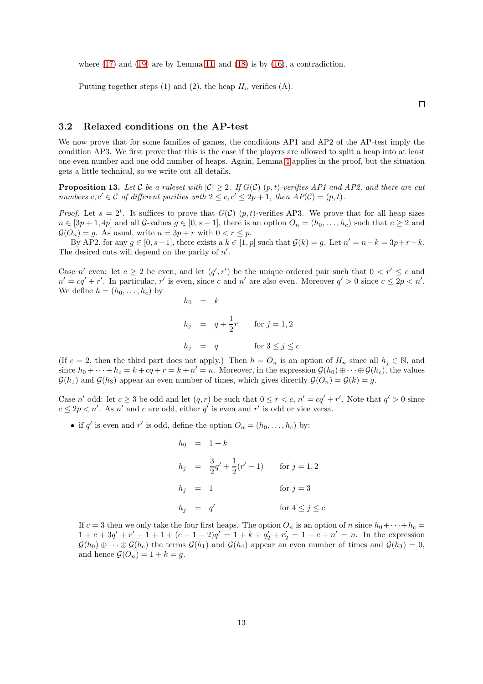where  $(17)$  and  $(19)$  are by Lemma [11,](#page-8-5) and  $(18)$  is by  $(16)$ , a contradiction.

Putting together steps (1) and (2), the heap  $H_n$  verifies (A).

 $\Box$ 

### <span id="page-12-0"></span>3.2 Relaxed conditions on the AP-test

We now prove that for some families of games, the conditions AP1 and AP2 of the AP-test imply the condition AP3. We first prove that this is the case if the players are allowed to split a heap into at least one even number and one odd number of heaps. Again, Lemma [4](#page-4-3) applies in the proof, but the situation gets a little technical, so we write out all details.

<span id="page-12-1"></span>**Proposition 13.** Let C be a ruleset with  $|C| \geq 2$ . If  $G(C)$   $(p, t)$ -verifies AP1 and AP2, and there are cut numbers  $c, c' \in \mathcal{C}$  of different parities with  $2 \leq c, c' \leq 2p + 1$ , then  $AP(\mathcal{C}) = (p, t)$ .

*Proof.* Let  $s = 2^t$ . It suffices to prove that  $G(\mathcal{C})$   $(p, t)$ -verifies AP3. We prove that for all heap sizes  $n \in [3p+1, 4p]$  and all G-values  $g \in [0, s-1]$ , there is an option  $O_n = (h_0, \ldots, h_c)$  such that  $c \ge 2$  and  $\mathcal{G}(O_n) = g$ . As usual, write  $n = 3p + r$  with  $0 < r \leq p$ .

By AP2, for any  $g \in [0, s-1]$ , there exists a  $k \in [1, p]$  such that  $\mathcal{G}(k) = g$ . Let  $n' = n - k = 3p + r - k$ . The desired cuts will depend on the parity of  $n'$ .

Case n' even: let  $c \geq 2$  be even, and let  $(q', r')$  be the unique ordered pair such that  $0 < r' \leq c$  and  $n' = cq' + r'$ . In particular, r' is even, since c and n' are also even. Moreover  $q' > 0$  since  $c \leq 2p < n'$ . We define  $h = (h_0, \ldots, h_c)$  by

$$
h_0 = k
$$
  
\n
$$
h_j = q + \frac{1}{2}r \quad \text{for } j = 1, 2
$$
  
\n
$$
h_j = q \quad \text{for } 3 \le j \le c
$$

(If c = 2, then the third part does not apply.) Then  $h = O_n$  is an option of  $H_n$  since all  $h_j \in \mathbb{N}$ , and since  $h_0 + \cdots + h_c = k + cq + r = k + n' = n$ . Moreover, in the expression  $\mathcal{G}(h_0) \oplus \cdots \oplus \mathcal{G}(h_c)$ , the values  $\mathcal{G}(h_1)$  and  $\mathcal{G}(h_3)$  appear an even number of times, which gives directly  $\mathcal{G}(O_n) = \mathcal{G}(k) = g$ .

Case n' odd: let  $c \geq 3$  be odd and let  $(q, r)$  be such that  $0 \leq r < c$ ,  $n' = cq' + r'$ . Note that  $q' > 0$  since  $c \leq 2p < n'$ . As n' and c are odd, either q' is even and r' is odd or vice versa.

• if q' is even and r' is odd, define the option  $O_n = (h_0, \ldots, h_c)$  by:

$$
h_0 = 1 + k
$$
  
\n
$$
h_j = \frac{3}{2}q' + \frac{1}{2}(r' - 1) \quad \text{for } j = 1, 2
$$
  
\n
$$
h_j = 1 \quad \text{for } j = 3
$$
  
\n
$$
h_j = q' \quad \text{for } 4 \le j \le c
$$

If  $c = 3$  then we only take the four first heaps. The option  $O_n$  is an option of n since  $h_0 + \cdots + h_c =$  $1 + c + 3q' + r' - 1 + 1 + (c - 1 - 2)q' = 1 + k + q'_2 + r'_2 = 1 + c + n' = n$ . In the expression  $\mathcal{G}(h_0) \oplus \cdots \oplus \mathcal{G}(h_c)$  the terms  $\mathcal{G}(h_1)$  and  $\mathcal{G}(h_4)$  appear an even number of times and  $\mathcal{G}(h_3) = 0$ , and hence  $\mathcal{G}(O_n) = 1 + k = g$ .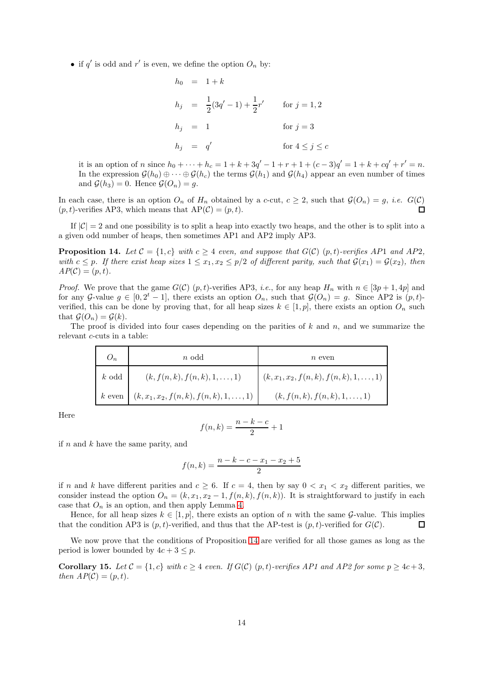• if  $q'$  is odd and  $r'$  is even, we define the option  $O_n$  by:

$$
h_0 = 1 + k
$$
  
\n
$$
h_j = \frac{1}{2}(3q' - 1) + \frac{1}{2}r'
$$
 for  $j = 1, 2$   
\n
$$
h_j = 1
$$
 for  $j = 3$   
\n
$$
h_j = q'
$$
 for  $4 \le j \le c$ 

it is an option of n since  $h_0 + \cdots + h_c = 1 + k + 3q' - 1 + r + 1 + (c - 3)q' = 1 + k + cq' + r' = n$ . In the expression  $\mathcal{G}(h_0) \oplus \cdots \oplus \mathcal{G}(h_c)$  the terms  $\mathcal{G}(h_1)$  and  $\mathcal{G}(h_4)$  appear an even number of times and  $\mathcal{G}(h_3) = 0$ . Hence  $\mathcal{G}(O_n) = g$ .

In each case, there is an option  $O_n$  of  $H_n$  obtained by a c-cut,  $c \geq 2$ , such that  $\mathcal{G}(O_n) = g$ , *i.e.*  $G(\mathcal{C})$  $\Box$  $(p, t)$ -verifies AP3, which means that  $AP(\mathcal{C}) = (p, t)$ .

If  $|\mathcal{C}| = 2$  and one possibility is to split a heap into exactly two heaps, and the other is to split into a a given odd number of heaps, then sometimes AP1 and AP2 imply AP3.

<span id="page-13-0"></span>**Proposition 14.** Let  $C = \{1, c\}$  with  $c \geq 4$  even, and suppose that  $G(C)(p, t)$ -verifies AP1 and AP2, with  $c \leq p$ . If there exist heap sizes  $1 \leq x_1, x_2 \leq p/2$  of different parity, such that  $\mathcal{G}(x_1) = \mathcal{G}(x_2)$ , then  $AP(\mathcal{C}) = (p, t).$ 

*Proof.* We prove that the game  $G(\mathcal{C})$  (p, t)-verifies AP3, *i.e.*, for any heap  $H_n$  with  $n \in [3p+1, 4p]$  and for any G-value  $g \in [0, 2^t - 1]$ , there exists an option  $O_n$ , such that  $\mathcal{G}(O_n) = g$ . Since AP2 is  $(p, t)$ verified, this can be done by proving that, for all heap sizes  $k \in [1, p]$ , there exists an option  $O_n$  such that  $\mathcal{G}(O_n) = \mathcal{G}(k)$ .

The proof is divided into four cases depending on the parities of  $k$  and  $n$ , and we summarize the relevant c-cuts in a table:

|          | $n$ odd                                         | $n$ even                                      |
|----------|-------------------------------------------------|-----------------------------------------------|
| $k$ odd  | $(k, f(n,k), f(n,k), 1, \ldots, 1)$             | $(k, x_1, x_2, f(n,k), f(n,k), 1, \ldots, 1)$ |
| $k$ even | $(k, x_1, x_2, f(n, k), f(n, k), 1, \ldots, 1)$ | $(k, f(n, k), f(n, k), 1, \ldots, 1)$         |

Here

$$
f(n,k) = \frac{n-k-c}{2} + 1
$$

if  $n$  and  $k$  have the same parity, and

$$
f(n,k) = \frac{n-k-c-x_1-x_2+5}{2}
$$

if n and k have different parities and  $c \geq 6$ . If  $c = 4$ , then by say  $0 < x_1 < x_2$  different parities, we consider instead the option  $O_n = (k, x_1, x_2 - 1, f(n, k), f(n, k))$ . It is straightforward to justify in each case that  $O_n$  is an option, and then apply Lemma [4.](#page-4-3)

Hence, for all heap sizes  $k \in [1, p]$ , there exists an option of n with the same G-value. This implies that the condition AP3 is  $(p, t)$ -verified, and thus that the AP-test is  $(p, t)$ -verified for  $G(\mathcal{C})$ .  $\Box$ 

We now prove that the conditions of Proposition [14](#page-13-0) are verified for all those games as long as the period is lower bounded by  $4c + 3 \leq p$ .

<span id="page-13-1"></span>**Corollary 15.** Let  $C = \{1, c\}$  with  $c > 4$  even. If  $G(C)$   $(p, t)$ -verifies AP1 and AP2 for some  $p > 4c + 3$ , then  $AP(\mathcal{C}) = (p, t)$ .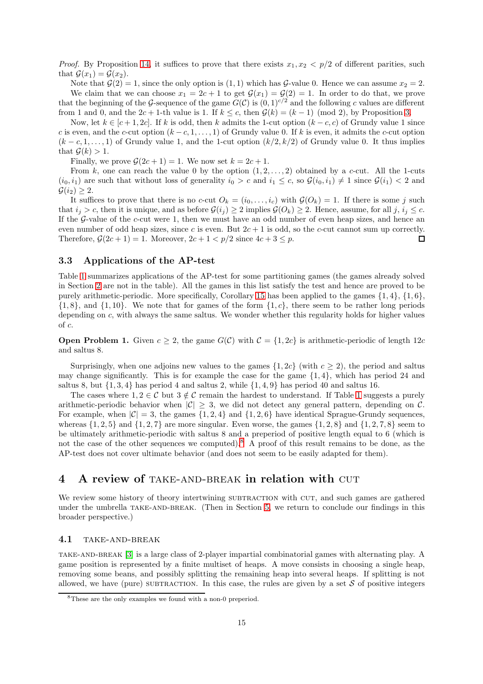*Proof.* By Proposition [14,](#page-13-0) it suffices to prove that there exists  $x_1, x_2 < p/2$  of different parities, such that  $\mathcal{G}(x_1) = \mathcal{G}(x_2)$ .

Note that  $\mathcal{G}(2) = 1$ , since the only option is  $(1, 1)$  which has  $\mathcal{G}\text{-value }0$ . Hence we can assume  $x_2 = 2$ . We claim that we can choose  $x_1 = 2c + 1$  to get  $\mathcal{G}(x_1) = \mathcal{G}(2) = 1$ . In order to do that, we prove that the beginning of the G-sequence of the game  $G(\mathcal{C})$  is  $(0,1)^{c/2}$  and the following c values are different from 1 and 0, and the  $2c + 1$ -th value is 1. If  $k \leq c$ , then  $\mathcal{G}(k) = (k-1) \pmod{2}$ , by Proposition [3.](#page-3-1)

Now, let  $k \in [c+1, 2c]$ . If k is odd, then k admits the 1-cut option  $(k-c, c)$  of Grundy value 1 since c is even, and the c-cut option  $(k - c, 1, \ldots, 1)$  of Grundy value 0. If k is even, it admits the c-cut option  $(k - c, 1, \ldots, 1)$  of Grundy value 1, and the 1-cut option  $(k/2, k/2)$  of Grundy value 0. It thus implies that  $\mathcal{G}(k) > 1$ .

Finally, we prove  $\mathcal{G}(2c+1) = 1$ . We now set  $k = 2c + 1$ .

From k, one can reach the value 0 by the option  $(1, 2, \ldots, 2)$  obtained by a c-cut. All the 1-cuts  $(i_0, i_1)$  are such that without loss of generality  $i_0 > c$  and  $i_1 \leq c$ , so  $\mathcal{G}(i_0, i_1) \neq 1$  since  $\mathcal{G}(i_1) < 2$  and  $\mathcal{G}(i_2) \geq 2$ .

It suffices to prove that there is no c-cut  $O_k = (i_0, \ldots, i_c)$  with  $\mathcal{G}(O_k) = 1$ . If there is some j such that  $i_j > c$ , then it is unique, and as before  $\mathcal{G}(i_j) \geq 2$  implies  $\mathcal{G}(O_k) \geq 2$ . Hence, assume, for all j,  $i_j \leq c$ . If the  $G$ -value of the  $c$ -cut were 1, then we must have an odd number of even heap sizes, and hence an even number of odd heap sizes, since c is even. But  $2c + 1$  is odd, so the c-cut cannot sum up correctly. Therefore,  $\mathcal{G}(2c+1) = 1$ . Moreover,  $2c+1 < p/2$  since  $4c+3 < p$ .  $\Box$ 

### 3.3 Applications of the AP-test

Table [1](#page-15-0) summarizes applications of the AP-test for some partitioning games (the games already solved in Section [2](#page-3-0) are not in the table). All the games in this list satisfy the test and hence are proved to be purely arithmetic-periodic. More specifically, Corollary [15](#page-13-1) has been applied to the games  $\{1, 4\}, \{1, 6\}$ ,  $\{1, 8\}$ , and  $\{1, 10\}$ . We note that for games of the form  $\{1, c\}$ , there seem to be rather long periods depending on c, with always the same saltus. We wonder whether this regularity holds for higher values of c.

**Open Problem 1.** Given  $c \geq 2$ , the game  $G(\mathcal{C})$  with  $\mathcal{C} = \{1, 2c\}$  is arithmetic-periodic of length 12c and saltus 8.

Surprisingly, when one adjoins new values to the games  $\{1, 2c\}$  (with  $c \geq 2$ ), the period and saltus may change significantly. This is for example the case for the game  $\{1,4\}$ , which has period 24 and saltus 8, but  $\{1, 3, 4\}$  has period 4 and saltus 2, while  $\{1, 4, 9\}$  has period 40 and saltus 16.

The cases where  $1, 2 \in \mathcal{C}$  but  $3 \notin \mathcal{C}$  remain the hardest to understand. If Table [1](#page-15-0) suggests a purely arithmetic-periodic behavior when  $|\mathcal{C}| \geq 3$ , we did not detect any general pattern, depending on C. For example, when  $|\mathcal{C}| = 3$ , the games  $\{1, 2, 4\}$  and  $\{1, 2, 6\}$  have identical Sprague-Grundy sequences, whereas  $\{1, 2, 5\}$  and  $\{1, 2, 7\}$  are more singular. Even worse, the games  $\{1, 2, 8\}$  and  $\{1, 2, 7, 8\}$  seem to be ultimately arithmetic-periodic with saltus 8 and a preperiod of positive length equal to 6 (which is not the case of the other sequences we computed).[8](#page-14-1) A proof of this result remains to be done, as the AP-test does not cover ultimate behavior (and does not seem to be easily adapted for them).

# <span id="page-14-0"></span>4 A review of TAKE-AND-BREAK in relation with CUT

We review some history of theory intertwining SUBTRACTION with CUT, and such games are gathered under the umbrella TAKE-AND-BREAK. (Then in Section [5,](#page-18-1) we return to conclude our findings in this broader perspective.)

### 4.1 TAKE-AND-BREAK

take-and-break [\[3\]](#page-19-2) is a large class of 2-player impartial combinatorial games with alternating play. A game position is represented by a finite multiset of heaps. A move consists in choosing a single heap, removing some beans, and possibly splitting the remaining heap into several heaps. If splitting is not allowed, we have (pure) SUBTRACTION. In this case, the rules are given by a set  $S$  of positive integers

<span id="page-14-1"></span><sup>8</sup>These are the only examples we found with a non-0 preperiod.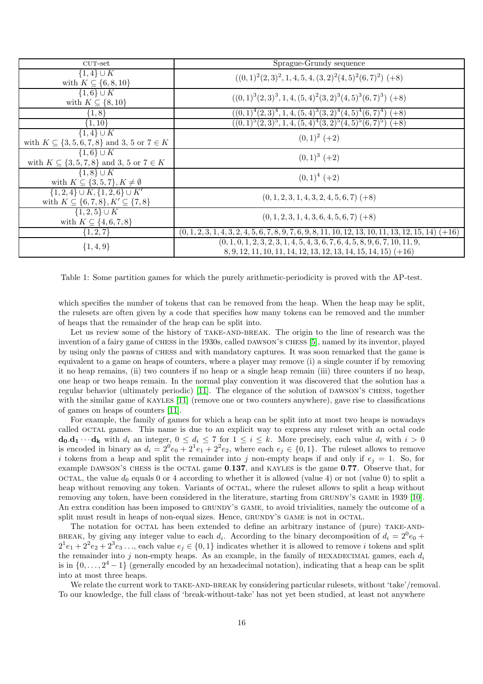| $CUT-set$                                                                                   | Sprague-Grundy sequence                                                                                                                              |
|---------------------------------------------------------------------------------------------|------------------------------------------------------------------------------------------------------------------------------------------------------|
| $\overline{\{1,4\}} \cup K$<br>with $K \subseteq \{6, 8, 10\}$                              | $((0,1)^2(2,3)^2, 1,4,5,4,(3,2)^2(4,5)^2(6,7)^2)$ (+8)                                                                                               |
| $\{1,6\} \cup K$<br>with $K \subseteq \{8, 10\}$                                            | $((0,1)^3(2,3)^3,1,4,(5,4)^2(3,2)^3(4,5)^3(6,7)^3)$ (+8)                                                                                             |
| $\{1, 8\}$                                                                                  | $((0,1)^{4}(2,3)^{4},1,4,(5,4)^{3}(3,2)^{4}(4,5)^{4}(6,7)^{4})$ (+8)                                                                                 |
| $\{1, 10\}$                                                                                 | $((0,1)^5(2,3)^5,1,4,(5,4)^4(3,2)^5(4,5)^5(6,7)^5)$ (+8)                                                                                             |
| $\overline{\{1,4\}} \cup K$<br>with $K \subseteq \{3, 5, 6, 7, 8\}$ and 3, 5 or $7 \in K$   | $(0,1)^2$ (+2)                                                                                                                                       |
| $\{1,6\} \cup K$<br>with $K \subseteq \{3, 5, 7, 8\}$ and 3, 5 or $7 \in K$                 | $(0,1)^3$ (+2)                                                                                                                                       |
| $\{1,8\} \cup K$<br>with $K \subseteq \{3, 5, 7\}, K \neq \emptyset$                        | $(0,1)^4$ (+2)                                                                                                                                       |
| $\{1,2,4\} \cup K, \{1,2,6\} \cup K'$<br>with $K \subseteq \{6,7,8\}, K' \subseteq \{7,8\}$ | $(0, 1, 2, 3, 1, 4, 3, 2, 4, 5, 6, 7)$ (+8)                                                                                                          |
| $\{1,2,5\} \cup K$<br>with $K \subseteq \{4, 6, 7, 8\}$                                     | $(0, 1, 2, 3, 1, 4, 3, 6, 4, 5, 6, 7)$ (+8)                                                                                                          |
| $\{1, 2, 7\}$                                                                               | $(0, 1, 2, 3, 1, 4, 3, 2, 4, 5, 6, 7, 8, 9, 7, 6, 9, 8, 11, 10, 12, 13, 10, 11, 13, 12, 15, 14)$ (+16)                                               |
| $\{1,4,9\}$                                                                                 | $(0, 1, 0, 1, 2, 3, 2, 3, 1, 4, 5, 4, 3, 6, 7, 6, 4, 5, 8, 9, 6, 7, 10, 11, 9,$<br>$8, 9, 12, 11, 10, 11, 14, 12, 13, 12, 13, 14, 15, 14, 15)$ (+16) |

<span id="page-15-0"></span>Table 1: Some partition games for which the purely arithmetic-periodicity is proved with the AP-test.

which specifies the number of tokens that can be removed from the heap. When the heap may be split, the rulesets are often given by a code that specifies how many tokens can be removed and the number of heaps that the remainder of the heap can be split into.

Let us review some of the history of TAKE-AND-BREAK. The origin to the line of research was the invention of a fairy game of CHESS in the 1930s, called DAWSON'S CHESS [\[5\]](#page-19-4), named by its inventor, played by using only the pawns of chess and with mandatory captures. It was soon remarked that the game is equivalent to a game on heaps of counters, where a player may remove (i) a single counter if by removing it no heap remains, (ii) two counters if no heap or a single heap remain (iii) three counters if no heap, one heap or two heaps remain. In the normal play convention it was discovered that the solution has a regular behavior (ultimately periodic) [\[11\]](#page-20-3). The elegance of the solution of DAWSON's CHESS, together with the similar game of KAYLES [\[11\]](#page-20-3) (remove one or two counters anywhere), gave rise to classifications of games on heaps of counters [\[11\]](#page-20-3).

For example, the family of games for which a heap can be split into at most two heaps is nowadays called octal games. This name is due to an explicit way to express any ruleset with an octal code  $\mathbf{d}_0.\mathbf{d}_1 \cdots \mathbf{d}_k$  with  $d_i$  an integer,  $0 \leq d_i \leq 7$  for  $1 \leq i \leq k$ . More precisely, each value  $d_i$  with  $i > 0$ is encoded in binary as  $d_i = 2^0 e_0 + 2^1 e_1 + 2^2 e_2$ , where each  $e_j \in \{0,1\}$ . The ruleset allows to remove i tokens from a heap and split the remainder into j non-empty heaps if and only if  $e_i = 1$ . So, for example DAWSON's CHESS is the OCTAL game 0.137, and KAYLES is the game 0.77. Observe that, for octal, the value  $d_0$  equals 0 or 4 according to whether it is allowed (value 4) or not (value 0) to split a heap without removing any token. Variants of octal, where the rules allows to split a heap without removing any token, have been considered in the literature, starting from grundy's game in 1939 [\[10\]](#page-20-1). An extra condition has been imposed to GRUNDY's GAME, to avoid trivialities, namely the outcome of a split must result in heaps of non-equal sizes. Hence, GRUNDY'S GAME is not in OCTAL.

The notation for OCTAL has been extended to define an arbitrary instance of (pure) TAKE-AND-BREAK, by giving any integer value to each  $d_i$ . According to the binary decomposition of  $d_i = 2^0 e_0 +$  $2^1e_1 + 2^2e_2 + 2^3e_3 \dots$ , each value  $e_j \in \{0,1\}$  indicates whether it is allowed to remove *i* tokens and split the remainder into j non-empty heaps. As an example, in the family of HEXADECIMAL games, each  $d_i$ is in  $\{0, \ldots, 2^4 - 1\}$  (generally encoded by an hexadecimal notation), indicating that a heap can be split into at most three heaps.

We relate the current work to TAKE-AND-BREAK by considering particular rulesets, without 'take'/removal. To our knowledge, the full class of 'break-without-take' has not yet been studied, at least not anywhere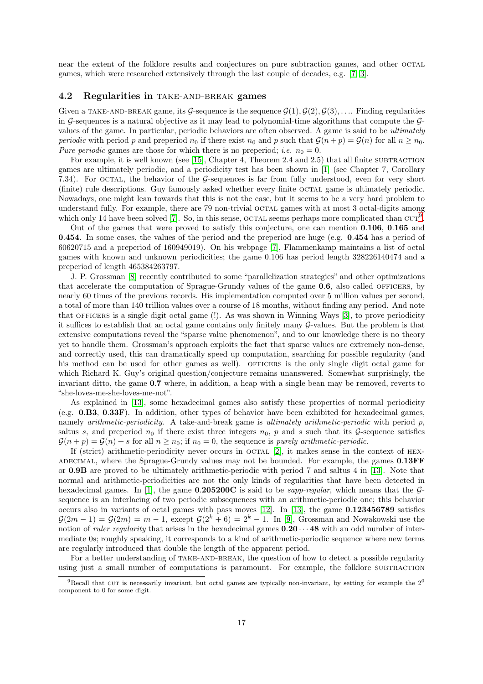near the extent of the folklore results and conjectures on pure subtraction games, and other octal games, which were researched extensively through the last couple of decades, e.g. [\[7,](#page-19-1) [3\]](#page-19-2).

### <span id="page-16-0"></span>4.2 Regularities in TAKE-AND-BREAK games

Given a TAKE-AND-BREAK game, its G-sequence is the sequence  $\mathcal{G}(1), \mathcal{G}(2), \mathcal{G}(3), \ldots$ . Finding regularities in G-sequences is a natural objective as it may lead to polynomial-time algorithms that compute the  $\mathcal{G}$ values of the game. In particular, periodic behaviors are often observed. A game is said to be ultimately periodic with period p and preperiod  $n_0$  if there exist  $n_0$  and p such that  $\mathcal{G}(n + p) = \mathcal{G}(n)$  for all  $n \geq n_0$ . Pure periodic games are those for which there is no preperiod; *i.e.*  $n_0 = 0$ .

For example, it is well known (see [\[15\]](#page-20-4), Chapter 4, Theorem 2.4 and 2.5) that all finite SUBTRACTION games are ultimately periodic, and a periodicity test has been shown in [\[1\]](#page-19-5) (see Chapter 7, Corollary 7.34). For octal, the behavior of the G-sequences is far from fully understood, even for very short (finite) rule descriptions. Guy famously asked whether every finite octal game is ultimately periodic. Nowadays, one might lean towards that this is not the case, but it seems to be a very hard problem to understand fully. For example, there are 79 non-trivial octal games with at most 3 octal-digits among which only 14 have been solved [\[7\]](#page-19-1). So, in this sense, OCTAL seems perhaps more complicated than  $\text{CUT}^9$  $\text{CUT}^9$ .

Out of the games that were proved to satisfy this conjecture, one can mention 0.106, 0.165 and 0.454. In some cases, the values of the period and the preperiod are huge (e.g. 0.454 has a period of 60620715 and a preperiod of 160949019). On his webpage [\[7\]](#page-19-1), Flammenkamp maintains a list of octal games with known and unknown periodicities; the game 0.106 has period length 328226140474 and a preperiod of length 465384263797.

J. P. Grossman [\[8\]](#page-19-6) recently contributed to some "parallelization strategies" and other optimizations that accelerate the computation of Sprague-Grundy values of the game  $0.6$ , also called OFFICERS, by nearly 60 times of the previous records. His implementation computed over 5 million values per second, a total of more than 140 trillion values over a course of 18 months, without finding any period. And note that officers is a single digit octal game (!). As was shown in Winning Ways [\[3\]](#page-19-2), to prove periodicity it suffices to establish that an octal game contains only finitely many G-values. But the problem is that extensive computations reveal the "sparse value phenomenon", and to our knowledge there is no theory yet to handle them. Grossman's approach exploits the fact that sparse values are extremely non-dense, and correctly used, this can dramatically speed up computation, searching for possible regularity (and his method can be used for other games as well). OFFICERS is the only single digit octal game for which Richard K. Guy's original question/conjecture remains unanswered. Somewhat surprisingly, the invariant ditto, the game 0.7 where, in addition, a heap with a single bean may be removed, reverts to "she-loves-me-she-loves-me-not".

As explained in [\[13\]](#page-20-2), some hexadecimal games also satisfy these properties of normal periodicity (e.g. 0.B3, 0.33F). In addition, other types of behavior have been exhibited for hexadecimal games, namely *arithmetic-periodicity*. A take-and-break game is *ultimately arithmetic-periodic* with period  $p$ , saltus s, and preperiod  $n_0$  if there exist three integers  $n_0$ , p and s such that its G-sequence satisfies  $\mathcal{G}(n+p) = \mathcal{G}(n) + s$  for all  $n \geq n_0$ ; if  $n_0 = 0$ , the sequence is *purely arithmetic-periodic.* 

If (strict) arithmetic-periodicity never occurs in  $OCTAL$  [\[2\]](#page-19-7), it makes sense in the context of HEX-ADECIMAL, where the Sprague-Grundy values may not be bounded. For example, the games  $0.13$ FF or 0.9B are proved to be ultimately arithmetic-periodic with period 7 and saltus 4 in [\[13\]](#page-20-2). Note that normal and arithmetic-periodicities are not the only kinds of regularities that have been detected in hexadecimal games. In [\[1\]](#page-19-5), the game  $0.205200C$  is said to be *sapp-regular*, which means that the  $\mathcal{G}$ sequence is an interlacing of two periodic subsequences with an arithmetic-periodic one; this behavior occurs also in variants of octal games with pass moves  $[12]$ . In  $[13]$ , the game 0.123456789 satisfies  $\mathcal{G}(2m-1) = \mathcal{G}(2m) = m-1$ , except  $\mathcal{G}(2^k+6) = 2^k-1$ . In [\[9\]](#page-20-6), Grossman and Nowakowski use the notion of *ruler regularity* that arises in the hexadecimal games  $0.20 \cdots 48$  with an odd number of intermediate 0s; roughly speaking, it corresponds to a kind of arithmetic-periodic sequence where new terms are regularly introduced that double the length of the apparent period.

For a better understanding of TAKE-AND-BREAK, the question of how to detect a possible regularity using just a small number of computations is paramount. For example, the folklore SUBTRACTION

<span id="page-16-1"></span> $9$ Recall that CUT is necessarily invariant, but octal games are typically non-invariant, by setting for example the  $2^0$ component to 0 for some digit.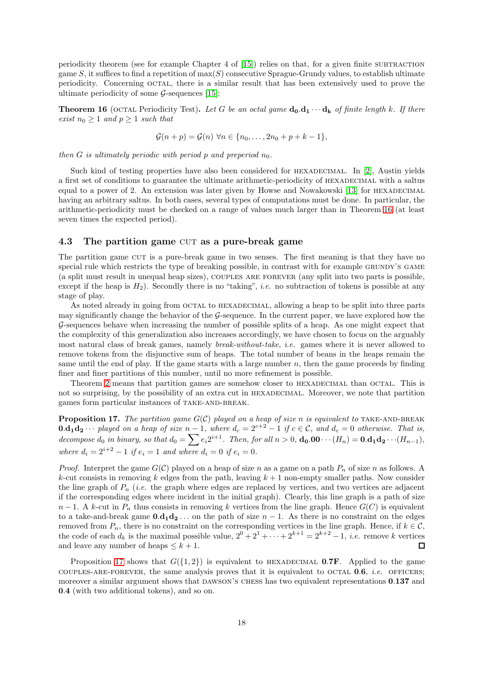periodicity theorem (see for example Chapter 4 of  $[15]$ ) relies on that, for a given finite SUBTRACTION game S, it suffices to find a repetition of  $max(S)$  consecutive Sprague-Grundy values, to establish ultimate periodicity. Concerning octal, there is a similar result that has been extensively used to prove the ultimate periodicity of some  $\mathcal{G}$ -sequences [\[15\]](#page-20-4):

<span id="page-17-1"></span>**Theorem 16** (OCTAL Periodicity Test). Let G be an octal game  $\mathbf{d}_0 \cdot \mathbf{d}_1 \cdot \cdot \cdot \mathbf{d}_k$  of finite length k. If there exist  $n_0 \geq 1$  and  $p \geq 1$  such that

$$
\mathcal{G}(n+p) = \mathcal{G}(n) \,\forall n \in \{n_0, \ldots, 2n_0 + p + k - 1\},\
$$

then G is ultimately periodic with period p and preperiod  $n_0$ .

Such kind of testing properties have also been considered for HEXADECIMAL. In [\[2\]](#page-19-7), Austin yields a first set of conditions to guarantee the ultimate arithmetic-periodicity of HEXADECIMAL with a saltus equal to a power of 2. An extension was later given by Howse and Nowakowski  $[13]$  for HEXADECIMAL having an arbitrary saltus. In both cases, several types of computations must be done. In particular, the arithmetic-periodicity must be checked on a range of values much larger than in Theorem [16](#page-17-1) (at least seven times the expected period).

### 4.3 The partition game CUT as a pure-break game

The partition game cut is a pure-break game in two senses. The first meaning is that they have no special rule which restricts the type of breaking possible, in contrast with for example GRUNDY'S GAME (a split must result in unequal heap sizes), couples are forever (any split into two parts is possible, except if the heap is  $H_2$ ). Secondly there is no "taking", *i.e.* no subtraction of tokens is possible at any stage of play.

As noted already in going from OCTAL to HEXADECIMAL, allowing a heap to be split into three parts may significantly change the behavior of the G-sequence. In the current paper, we have explored how the G-sequences behave when increasing the number of possible splits of a heap. As one might expect that the complexity of this generalization also increases accordingly, we have chosen to focus on the arguably most natural class of break games, namely break-without-take, i.e. games where it is never allowed to remove tokens from the disjunctive sum of heaps. The total number of beans in the heaps remain the same until the end of play. If the game starts with a large number  $n$ , then the game proceeds by finding finer and finer partitions of this number, until no more refinement is possible.

Theorem [2](#page-3-3) means that partition games are somehow closer to HEXADECIMAL than OCTAL. This is not so surprising, by the possibility of an extra cut in HEXADECIMAL. Moreover, we note that partition games form particular instances of TAKE-AND-BREAK.

<span id="page-17-0"></span>**Proposition 17.** The partition game  $G(C)$  played on a heap of size n is equivalent to TAKE-AND-BREAK **0.d<sub>1</sub>d<sub>2</sub>**  $\cdots$  played on a heap of size n – 1, where  $d_c = 2^{c+2} - 1$  if  $c \in \mathcal{C}$ , and  $d_c = 0$  otherwise. That is, decompose  $d_0$  in binary, so that  $d_0 = \sum e_i 2^{i+1}$ . Then, for all  $n > 0$ ,  $\mathbf{d_0.00} \cdots (H_n) = \mathbf{0. d_1d_2 \cdots (H_{n-1})}$ , where  $d_i = 2^{i+2} - 1$  if  $e_i = 1$  and where  $d_i = 0$  if  $e_i = 0$ .

*Proof.* Interpret the game  $G(\mathcal{C})$  played on a heap of size n as a game on a path  $P_n$  of size n as follows. A k-cut consists in removing k edges from the path, leaving  $k + 1$  non-empty smaller paths. Now consider the line graph of  $P_n$  (i.e. the graph where edges are replaced by vertices, and two vertices are adjacent if the corresponding edges where incident in the initial graph). Clearly, this line graph is a path of size  $n-1$ . A k-cut in  $P_n$  thus consists in removing k vertices from the line graph. Hence  $G(C)$  is equivalent to a take-and-break game  $0.d_1d_2...$  on the path of size  $n-1$ . As there is no constraint on the edges removed from  $P_n$ , there is no constraint on the corresponding vertices in the line graph. Hence, if  $k \in \mathcal{C}$ , the code of each  $d_k$  is the maximal possible value,  $2^0 + 2^1 + \cdots + 2^{k+1} = 2^{k+2} - 1$ , *i.e.* remove k vertices and leave any number of heaps  $\leq k+1$ .  $\Box$ 

Proposition [17](#page-17-0) shows that  $G({1, 2})$  is equivalent to HEXADECIMAL **0.7F.** Applied to the game COUPLES-ARE-FOREVER, the same analysis proves that it is equivalent to octal  $0.6$ , *i.e.* OFFICERS; moreover a similar argument shows that DAWSON'S CHESS has two equivalent representations 0.137 and 0.4 (with two additional tokens), and so on.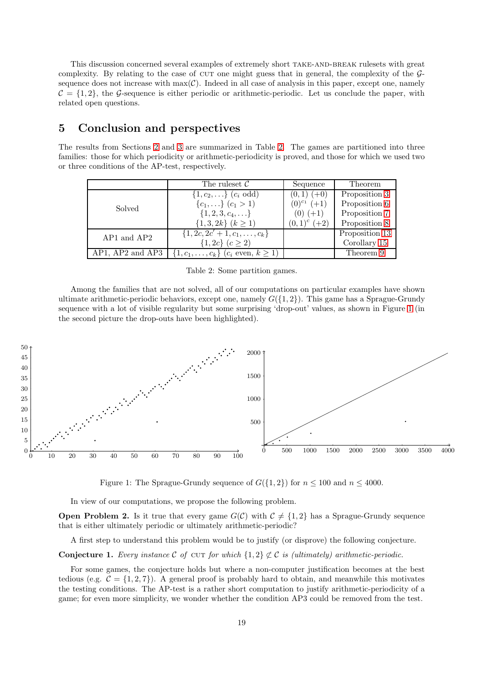This discussion concerned several examples of extremely short TAKE-AND-BREAK rulesets with great complexity. By relating to the case of CUT one might guess that in general, the complexity of the  $\mathcal{G}$ sequence does not increase with  $max(\mathcal{C})$ . Indeed in all case of analysis in this paper, except one, namely  $C = \{1, 2\}$ , the G-sequence is either periodic or arithmetic-periodic. Let us conclude the paper, with related open questions.

## <span id="page-18-1"></span>5 Conclusion and perspectives

The results from Sections [2](#page-3-0) and [3](#page-7-0) are summarized in Table [2.](#page-18-0) The games are partitioned into three families: those for which periodicity or arithmetic-periodicity is proved, and those for which we used two or three conditions of the AP-test, respectively.

|                      | The ruleset $\mathcal C$                                 | Sequence           | Theorem        |
|----------------------|----------------------------------------------------------|--------------------|----------------|
|                      | $\{1, c_2, \}$ $(c_i \text{ odd})$                       | $(0,1) (+0)$       | Proposition 3  |
| Solved               | $\{c_1,\}$ $(c_1 > 1)$                                   | $(0)^{c_1}$ $(+1)$ | Proposition 6  |
|                      | $\{1, 2, 3, c_4, \ldots\}$                               | $(0) (+1)$         | Proposition 7  |
|                      | $\{1,3,2k\}$ $(k \ge 1)$                                 | $(0,1)^c$ $(+2)$   | Proposition 8  |
| $AP1$ and $AP2$      | $\{1, 2c, 2c' + 1, c_1, \ldots, c_k\}$                   |                    | Proposition 13 |
|                      | $\{1, 2c\}$ $(c \geq 2)$                                 |                    | Corollary 15   |
| $AP1. AP2$ and $AP3$ | $\{1, c_1, \ldots, c_k\}$ $(c_i \text{ even}, k \geq 1)$ |                    | Theorem 9      |

<span id="page-18-0"></span>Table 2: Some partition games.

Among the families that are not solved, all of our computations on particular examples have shown ultimate arithmetic-periodic behaviors, except one, namely  $G({1, 2})$ . This game has a Sprague-Grundy sequence with a lot of visible regularity but some surprising 'drop-out' values, as shown in Figure [1](#page-18-2) (in the second picture the drop-outs have been highlighted).



<span id="page-18-2"></span>Figure 1: The Sprague-Grundy sequence of  $G({1, 2})$  for  $n \le 100$  and  $n \le 4000$ .

In view of our computations, we propose the following problem.

**Open Problem 2.** Is it true that every game  $G(\mathcal{C})$  with  $\mathcal{C} \neq \{1, 2\}$  has a Sprague-Grundy sequence that is either ultimately periodic or ultimately arithmetic-periodic?

A first step to understand this problem would be to justify (or disprove) the following conjecture.

Conjecture 1. Every instance  $C$  of  $CUT$  for which  $\{1,2\} \not\subset C$  is (ultimately) arithmetic-periodic.

For some games, the conjecture holds but where a non-computer justification becomes at the best tedious (e.g.  $C = \{1, 2, 7\}$ ). A general proof is probably hard to obtain, and meanwhile this motivates the testing conditions. The AP-test is a rather short computation to justify arithmetic-periodicity of a game; for even more simplicity, we wonder whether the condition AP3 could be removed from the test.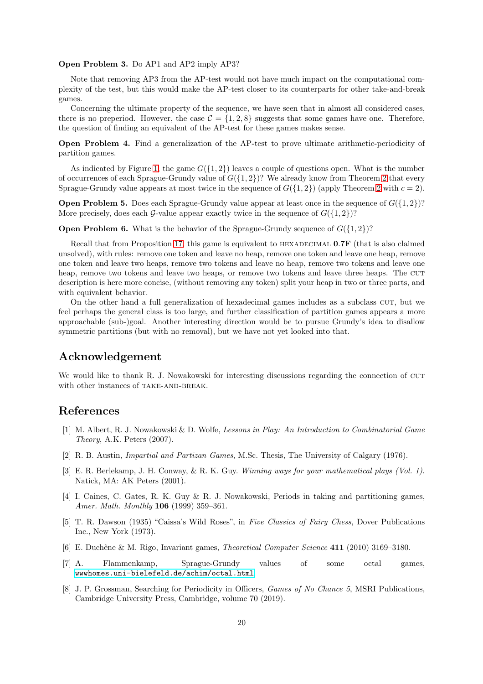#### Open Problem 3. Do AP1 and AP2 imply AP3?

Note that removing AP3 from the AP-test would not have much impact on the computational complexity of the test, but this would make the AP-test closer to its counterparts for other take-and-break games.

Concerning the ultimate property of the sequence, we have seen that in almost all considered cases, there is no preperiod. However, the case  $C = \{1, 2, 8\}$  suggests that some games have one. Therefore, the question of finding an equivalent of the AP-test for these games makes sense.

Open Problem 4. Find a generalization of the AP-test to prove ultimate arithmetic-periodicity of partition games.

As indicated by Figure [1,](#page-18-2) the game  $G({1, 2})$  leaves a couple of questions open. What is the number of occurrences of each Sprague-Grundy value of  $G({1, 2})$  $G({1, 2})$  $G({1, 2})$ ? We already know from Theorem 2 that every Sprague-Grundy value appears at most twice in the sequence of  $G({1, 2})$  $G({1, 2})$  $G({1, 2})$  (apply Theorem 2 with  $c = 2$ ).

**Open Problem 5.** Does each Sprague-Grundy value appear at least once in the sequence of  $G({1, 2})$ ? More precisely, does each G-value appear exactly twice in the sequence of  $G({1, 2})$ ?

**Open Problem 6.** What is the behavior of the Sprague-Grundy sequence of  $G({1, 2})$ ?

Recall that from Proposition [17,](#page-17-0) this game is equivalent to HEXADECIMAL  $0.7F$  (that is also claimed unsolved), with rules: remove one token and leave no heap, remove one token and leave one heap, remove one token and leave two heaps, remove two tokens and leave no heap, remove two tokens and leave one heap, remove two tokens and leave two heaps, or remove two tokens and leave three heaps. The CUT description is here more concise, (without removing any token) split your heap in two or three parts, and with equivalent behavior.

On the other hand a full generalization of hexadecimal games includes as a subclass cut, but we feel perhaps the general class is too large, and further classification of partition games appears a more approachable (sub-)goal. Another interesting direction would be to pursue Grundy's idea to disallow symmetric partitions (but with no removal), but we have not yet looked into that.

## Acknowledgement

We would like to thank R. J. Nowakowski for interesting discussions regarding the connection of CUT with other instances of TAKE-AND-BREAK.

## <span id="page-19-5"></span>References

- [1] M. Albert, R. J. Nowakowski & D. Wolfe, Lessons in Play: An Introduction to Combinatorial Game Theory, A.K. Peters (2007).
- <span id="page-19-7"></span><span id="page-19-2"></span>[2] R. B. Austin, Impartial and Partizan Games, M.Sc. Thesis, The University of Calgary (1976).
- [3] E. R. Berlekamp, J. H. Conway, & R. K. Guy. Winning ways for your mathematical plays (Vol. 1). Natick, MA: AK Peters (2001).
- <span id="page-19-0"></span>[4] I. Caines, C. Gates, R. K. Guy & R. J. Nowakowski, Periods in taking and partitioning games, Amer. Math. Monthly 106 (1999) 359–361.
- <span id="page-19-4"></span>[5] T. R. Dawson (1935) "Caissa's Wild Roses", in Five Classics of Fairy Chess, Dover Publications Inc., New York (1973).
- <span id="page-19-3"></span><span id="page-19-1"></span>[6] E. Duchêne & M. Rigo, Invariant games, *Theoretical Computer Science* 411 (2010) 3169–3180.
- [7] A. Flammenkamp, Sprague-Grundy values of some octal games, <wwwhomes.uni-bielefeld.de/achim/octal.html>.
- <span id="page-19-6"></span>[8] J. P. Grossman, Searching for Periodicity in Officers, *Games of No Chance 5*, MSRI Publications, Cambridge University Press, Cambridge, volume 70 (2019).